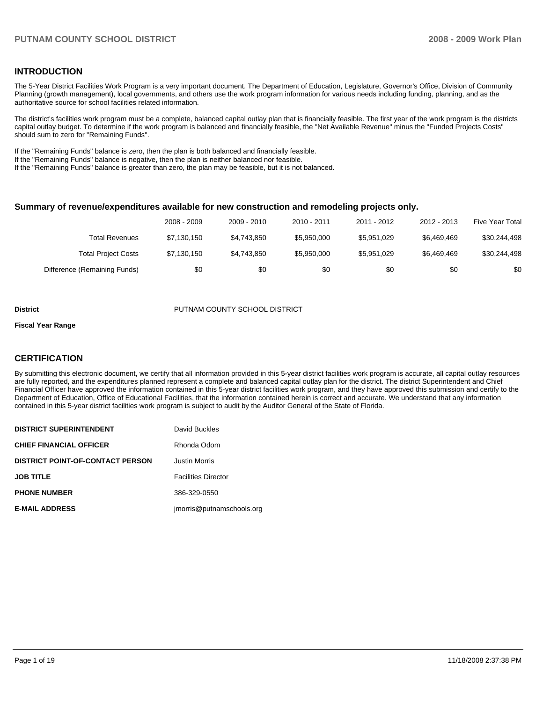### **INTRODUCTION**

The 5-Year District Facilities Work Program is a very important document. The Department of Education, Legislature, Governor's Office, Division of Community Planning (growth management), local governments, and others use the work program information for various needs including funding, planning, and as the authoritative source for school facilities related information.

The district's facilities work program must be a complete, balanced capital outlay plan that is financially feasible. The first year of the work program is the districts capital outlay budget. To determine if the work program is balanced and financially feasible, the "Net Available Revenue" minus the "Funded Projects Costs" should sum to zero for "Remaining Funds".

If the "Remaining Funds" balance is zero, then the plan is both balanced and financially feasible.

If the "Remaining Funds" balance is negative, then the plan is neither balanced nor feasible.

If the "Remaining Funds" balance is greater than zero, the plan may be feasible, but it is not balanced.

#### **Summary of revenue/expenditures available for new construction and remodeling projects only.**

|                              | 2008 - 2009 | 2009 - 2010 | 2010 - 2011 | 2011 - 2012 | 2012 - 2013 | <b>Five Year Total</b> |
|------------------------------|-------------|-------------|-------------|-------------|-------------|------------------------|
| Total Revenues               | \$7,130,150 | \$4.743.850 | \$5.950.000 | \$5.951.029 | \$6.469.469 | \$30,244,498           |
| <b>Total Project Costs</b>   | \$7,130,150 | \$4.743.850 | \$5,950,000 | \$5.951.029 | \$6.469.469 | \$30,244,498           |
| Difference (Remaining Funds) | \$0         | \$0         | \$0         | \$0         | \$0         | \$0                    |

#### **District COUNTY SCHOOL DISTRICT**

#### **Fiscal Year Range**

#### **CERTIFICATION**

By submitting this electronic document, we certify that all information provided in this 5-year district facilities work program is accurate, all capital outlay resources are fully reported, and the expenditures planned represent a complete and balanced capital outlay plan for the district. The district Superintendent and Chief Financial Officer have approved the information contained in this 5-year district facilities work program, and they have approved this submission and certify to the Department of Education, Office of Educational Facilities, that the information contained herein is correct and accurate. We understand that any information contained in this 5-year district facilities work program is subject to audit by the Auditor General of the State of Florida.

| <b>DISTRICT SUPERINTENDENT</b>          | David Buckles              |
|-----------------------------------------|----------------------------|
| <b>CHIEF FINANCIAL OFFICER</b>          | Rhonda Odom                |
| <b>DISTRICT POINT-OF-CONTACT PERSON</b> | <b>Justin Morris</b>       |
| <b>JOB TITLE</b>                        | <b>Facilities Director</b> |
| <b>PHONE NUMBER</b>                     | 386-329-0550               |
| <b>E-MAIL ADDRESS</b>                   | imorris@putnamschools.org  |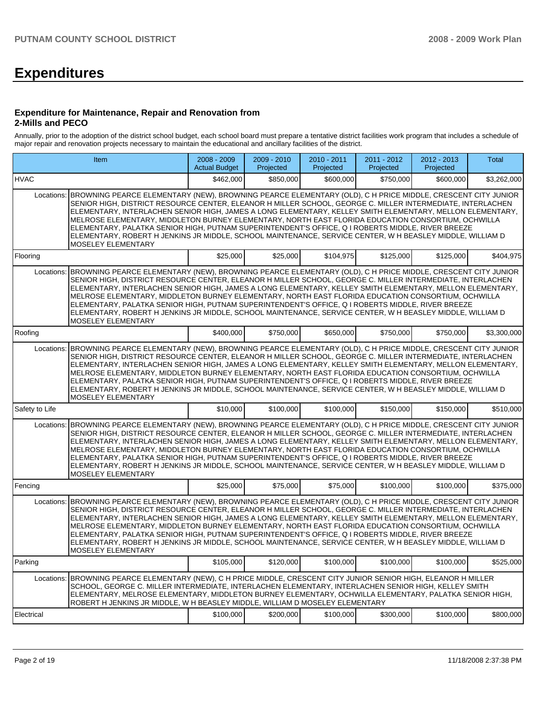# **Expenditures**

#### **Expenditure for Maintenance, Repair and Renovation from 2-Mills and PECO**

Annually, prior to the adoption of the district school budget, each school board must prepare a tentative district facilities work program that includes a schedule of major repair and renovation projects necessary to maintain the educational and ancillary facilities of the district.

| Item           |                                                                                                                                                                                                                                                                                                                                                                                                                                                                                                                                                                                                                                                                                     | 2008 - 2009<br><b>Actual Budget</b> | 2009 - 2010<br>Projected | 2010 - 2011<br>Projected | 2011 - 2012<br>Projected | 2012 - 2013<br>Projected | Total       |  |  |  |  |  |
|----------------|-------------------------------------------------------------------------------------------------------------------------------------------------------------------------------------------------------------------------------------------------------------------------------------------------------------------------------------------------------------------------------------------------------------------------------------------------------------------------------------------------------------------------------------------------------------------------------------------------------------------------------------------------------------------------------------|-------------------------------------|--------------------------|--------------------------|--------------------------|--------------------------|-------------|--|--|--|--|--|
| <b>HVAC</b>    |                                                                                                                                                                                                                                                                                                                                                                                                                                                                                                                                                                                                                                                                                     | \$462,000                           | \$850,000                | \$600,000                | \$750,000                | \$600,000                | \$3,262,000 |  |  |  |  |  |
| Locations:     | BROWNING PEARCE ELEMENTARY (NEW), BROWNING PEARCE ELEMENTARY (OLD), C H PRICE MIDDLE, CRESCENT CITY JUNIOR<br>SENIOR HIGH, DISTRICT RESOURCE CENTER, ELEANOR H MILLER SCHOOL, GEORGE C. MILLER INTERMEDIATE, INTERLACHEN<br>ELEMENTARY, INTERLACHEN SENIOR HIGH, JAMES A LONG ELEMENTARY, KELLEY SMITH ELEMENTARY, MELLON ELEMENTARY,<br>MELROSE ELEMENTARY, MIDDLETON BURNEY ELEMENTARY, NORTH EAST FLORIDA EDUCATION CONSORTIUM, OCHWILLA<br>ELEMENTARY, PALATKA SENIOR HIGH, PUTNAM SUPERINTENDENT'S OFFICE, Q I ROBERTS MIDDLE, RIVER BREEZE<br>ELEMENTARY, ROBERT H JENKINS JR MIDDLE, SCHOOL MAINTENANCE, SERVICE CENTER, W H BEASLEY MIDDLE, WILLIAM D<br>MOSELEY ELEMENTARY |                                     |                          |                          |                          |                          |             |  |  |  |  |  |
| Flooring       |                                                                                                                                                                                                                                                                                                                                                                                                                                                                                                                                                                                                                                                                                     | \$25,000                            | \$25,000                 | \$104.975                | \$125,000                | \$125,000                | \$404,975   |  |  |  |  |  |
| Locations:     | BROWNING PEARCE ELEMENTARY (NEW), BROWNING PEARCE ELEMENTARY (OLD), C H PRICE MIDDLE, CRESCENT CITY JUNIOR<br>SENIOR HIGH, DISTRICT RESOURCE CENTER, ELEANOR H MILLER SCHOOL, GEORGE C. MILLER INTERMEDIATE, INTERLACHEN<br>ELEMENTARY, INTERLACHEN SENIOR HIGH, JAMES A LONG ELEMENTARY, KELLEY SMITH ELEMENTARY, MELLON ELEMENTARY,<br>MELROSE ELEMENTARY, MIDDLETON BURNEY ELEMENTARY, NORTH EAST FLORIDA EDUCATION CONSORTIUM, OCHWILLA<br>ELEMENTARY, PALATKA SENIOR HIGH, PUTNAM SUPERINTENDENT'S OFFICE, Q I ROBERTS MIDDLE, RIVER BREEZE<br>ELEMENTARY, ROBERT H JENKINS JR MIDDLE, SCHOOL MAINTENANCE, SERVICE CENTER, W H BEASLEY MIDDLE, WILLIAM D<br>MOSELEY ELEMENTARY |                                     |                          |                          |                          |                          |             |  |  |  |  |  |
| Roofing        |                                                                                                                                                                                                                                                                                                                                                                                                                                                                                                                                                                                                                                                                                     | \$400,000                           | \$750,000                | \$650,000                | \$750,000                | \$750,000                | \$3,300,000 |  |  |  |  |  |
| Locations:     | BROWNING PEARCE ELEMENTARY (NEW), BROWNING PEARCE ELEMENTARY (OLD), C H PRICE MIDDLE, CRESCENT CITY JUNIOR<br>SENIOR HIGH. DISTRICT RESOURCE CENTER. ELEANOR H MILLER SCHOOL. GEORGE C. MILLER INTERMEDIATE. INTERLACHEN<br>ELEMENTARY, INTERLACHEN SENIOR HIGH, JAMES A LONG ELEMENTARY, KELLEY SMITH ELEMENTARY, MELLON ELEMENTARY,<br>MELROSE ELEMENTARY, MIDDLETON BURNEY ELEMENTARY, NORTH EAST FLORIDA EDUCATION CONSORTIUM, OCHWILLA<br>ELEMENTARY, PALATKA SENIOR HIGH, PUTNAM SUPERINTENDENT'S OFFICE, Q I ROBERTS MIDDLE, RIVER BREEZE<br>ELEMENTARY, ROBERT H JENKINS JR MIDDLE, SCHOOL MAINTENANCE, SERVICE CENTER, W H BEASLEY MIDDLE, WILLIAM D<br>MOSELEY ELEMENTARY |                                     |                          |                          |                          |                          |             |  |  |  |  |  |
| Safety to Life |                                                                                                                                                                                                                                                                                                                                                                                                                                                                                                                                                                                                                                                                                     | \$10,000                            | \$100,000                | \$100,000                | \$150,000                | \$150,000                | \$510,000   |  |  |  |  |  |
| Locations:     | BROWNING PEARCE ELEMENTARY (NEW), BROWNING PEARCE ELEMENTARY (OLD), C H PRICE MIDDLE, CRESCENT CITY JUNIOR<br>SENIOR HIGH, DISTRICT RESOURCE CENTER, ELEANOR H MILLER SCHOOL, GEORGE C. MILLER INTERMEDIATE, INTERLACHEN<br>ELEMENTARY, INTERLACHEN SENIOR HIGH, JAMES A LONG ELEMENTARY, KELLEY SMITH ELEMENTARY, MELLON ELEMENTARY,<br>MELROSE ELEMENTARY, MIDDLETON BURNEY ELEMENTARY, NORTH EAST FLORIDA EDUCATION CONSORTIUM, OCHWILLA<br>ELEMENTARY, PALATKA SENIOR HIGH, PUTNAM SUPERINTENDENT'S OFFICE, Q I ROBERTS MIDDLE, RIVER BREEZE<br>ELEMENTARY, ROBERT H JENKINS JR MIDDLE, SCHOOL MAINTENANCE, SERVICE CENTER, W H BEASLEY MIDDLE, WILLIAM D<br>MOSELEY ELEMENTARY |                                     |                          |                          |                          |                          |             |  |  |  |  |  |
| Fencing        |                                                                                                                                                                                                                                                                                                                                                                                                                                                                                                                                                                                                                                                                                     | \$25,000                            | \$75,000                 | \$75,000                 | \$100,000                | \$100,000                | \$375,000   |  |  |  |  |  |
| Locations:     | BROWNING PEARCE ELEMENTARY (NEW), BROWNING PEARCE ELEMENTARY (OLD), C H PRICE MIDDLE, CRESCENT CITY JUNIOR<br>SENIOR HIGH, DISTRICT RESOURCE CENTER, ELEANOR H MILLER SCHOOL, GEORGE C. MILLER INTERMEDIATE, INTERLACHEN<br>ELEMENTARY, INTERLACHEN SENIOR HIGH, JAMES A LONG ELEMENTARY, KELLEY SMITH ELEMENTARY, MELLON ELEMENTARY,<br>MELROSE ELEMENTARY, MIDDLETON BURNEY ELEMENTARY, NORTH EAST FLORIDA EDUCATION CONSORTIUM, OCHWILLA<br>ELEMENTARY, PALATKA SENIOR HIGH, PUTNAM SUPERINTENDENT'S OFFICE, Q I ROBERTS MIDDLE, RIVER BREEZE<br>ELEMENTARY, ROBERT H JENKINS JR MIDDLE, SCHOOL MAINTENANCE, SERVICE CENTER, W H BEASLEY MIDDLE, WILLIAM D<br>MOSELEY ELEMENTARY |                                     |                          |                          |                          |                          |             |  |  |  |  |  |
| Parking        |                                                                                                                                                                                                                                                                                                                                                                                                                                                                                                                                                                                                                                                                                     | \$105,000                           | \$120,000                | \$100,000                | \$100,000                | \$100,000                | \$525,000   |  |  |  |  |  |
| Locations:     | BROWNING PEARCE ELEMENTARY (NEW), C H PRICE MIDDLE, CRESCENT CITY JUNIOR SENIOR HIGH, ELEANOR H MILLER<br>SCHOOL, GEORGE C. MILLER INTERMEDIATE, INTERLACHEN ELEMENTARY, INTERLACHEN SENIOR HIGH, KELLEY SMITH<br>ELEMENTARY, MELROSE ELEMENTARY, MIDDLETON BURNEY ELEMENTARY, OCHWILLA ELEMENTARY, PALATKA SENIOR HIGH,<br>ROBERT H JENKINS JR MIDDLE, W H BEASLEY MIDDLE, WILLIAM D MOSELEY ELEMENTARY                                                                                                                                                                                                                                                                            |                                     |                          |                          |                          |                          |             |  |  |  |  |  |
| Electrical     |                                                                                                                                                                                                                                                                                                                                                                                                                                                                                                                                                                                                                                                                                     | \$100,000                           | \$200,000                | \$100,000                | \$300,000                | \$100,000                | \$800,000   |  |  |  |  |  |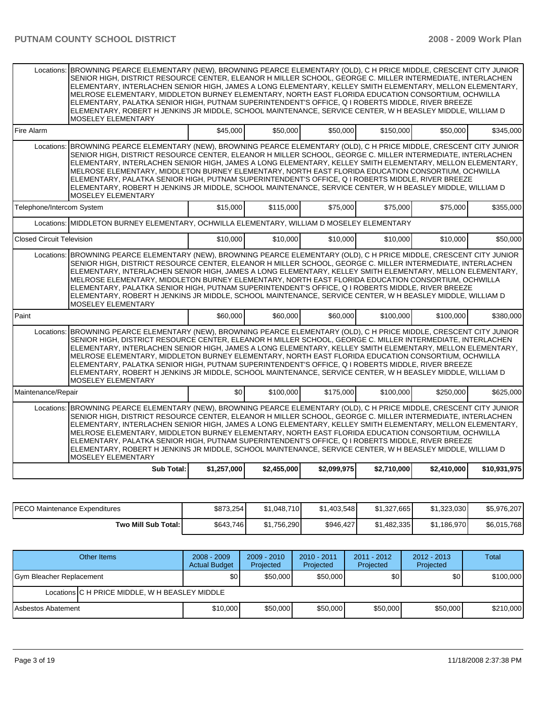|                                                                                                                                                                                                                                                                                                                                                                                                                                                                                                                                                                                                                                                                                                   | Locations: BROWNING PEARCE ELEMENTARY (NEW), BROWNING PEARCE ELEMENTARY (OLD), C H PRICE MIDDLE, CRESCENT CITY JUNIOR<br>SENIOR HIGH, DISTRICT RESOURCE CENTER, ELEANOR H MILLER SCHOOL, GEORGE C. MILLER INTERMEDIATE, INTERLACHEN<br>ELEMENTARY. INTERLACHEN SENIOR HIGH. JAMES A LONG ELEMENTARY. KELLEY SMITH ELEMENTARY. MELLON ELEMENTARY.<br>MELROSE ELEMENTARY, MIDDLETON BURNEY ELEMENTARY, NORTH EAST FLORIDA EDUCATION CONSORTIUM, OCHWILLA<br>ELEMENTARY, PALATKA SENIOR HIGH, PUTNAM SUPERINTENDENT'S OFFICE, Q I ROBERTS MIDDLE, RIVER BREEZE<br>ELEMENTARY, ROBERT H JENKINS JR MIDDLE, SCHOOL MAINTENANCE, SERVICE CENTER, W H BEASLEY MIDDLE, WILLIAM D<br><b>MOSELEY ELEMENTARY</b> |             |             |             |             |             |              |  |  |  |  |
|---------------------------------------------------------------------------------------------------------------------------------------------------------------------------------------------------------------------------------------------------------------------------------------------------------------------------------------------------------------------------------------------------------------------------------------------------------------------------------------------------------------------------------------------------------------------------------------------------------------------------------------------------------------------------------------------------|-------------------------------------------------------------------------------------------------------------------------------------------------------------------------------------------------------------------------------------------------------------------------------------------------------------------------------------------------------------------------------------------------------------------------------------------------------------------------------------------------------------------------------------------------------------------------------------------------------------------------------------------------------------------------------------------------------|-------------|-------------|-------------|-------------|-------------|--------------|--|--|--|--|
| Fire Alarm                                                                                                                                                                                                                                                                                                                                                                                                                                                                                                                                                                                                                                                                                        |                                                                                                                                                                                                                                                                                                                                                                                                                                                                                                                                                                                                                                                                                                       | \$45,000    | \$50,000    | \$50,000    | \$150,000   | \$50,000    | \$345,000    |  |  |  |  |
|                                                                                                                                                                                                                                                                                                                                                                                                                                                                                                                                                                                                                                                                                                   | Locations: BROWNING PEARCE ELEMENTARY (NEW), BROWNING PEARCE ELEMENTARY (OLD), C H PRICE MIDDLE, CRESCENT CITY JUNIOR<br>SENIOR HIGH, DISTRICT RESOURCE CENTER, ELEANOR H MILLER SCHOOL, GEORGE C. MILLER INTERMEDIATE, INTERLACHEN<br>ELEMENTARY, INTERLACHEN SENIOR HIGH, JAMES A LONG ELEMENTARY, KELLEY SMITH ELEMENTARY, MELLON ELEMENTARY,<br>MELROSE ELEMENTARY, MIDDLETON BURNEY ELEMENTARY, NORTH EAST FLORIDA EDUCATION CONSORTIUM, OCHWILLA<br>ELEMENTARY, PALATKA SENIOR HIGH, PUTNAM SUPERINTENDENT'S OFFICE, Q I ROBERTS MIDDLE, RIVER BREEZE<br>ELEMENTARY, ROBERT H JENKINS JR MIDDLE, SCHOOL MAINTENANCE, SERVICE CENTER, W H BEASLEY MIDDLE, WILLIAM D<br><b>MOSELEY ELEMENTARY</b> |             |             |             |             |             |              |  |  |  |  |
| Telephone/Intercom System                                                                                                                                                                                                                                                                                                                                                                                                                                                                                                                                                                                                                                                                         |                                                                                                                                                                                                                                                                                                                                                                                                                                                                                                                                                                                                                                                                                                       | \$15,000    | \$115,000   | \$75,000    | \$75,000    | \$75,000    | \$355,000    |  |  |  |  |
|                                                                                                                                                                                                                                                                                                                                                                                                                                                                                                                                                                                                                                                                                                   | Locations: MIDDLETON BURNEY ELEMENTARY, OCHWILLA ELEMENTARY, WILLIAM D MOSELEY ELEMENTARY                                                                                                                                                                                                                                                                                                                                                                                                                                                                                                                                                                                                             |             |             |             |             |             |              |  |  |  |  |
| <b>Closed Circuit Television</b>                                                                                                                                                                                                                                                                                                                                                                                                                                                                                                                                                                                                                                                                  |                                                                                                                                                                                                                                                                                                                                                                                                                                                                                                                                                                                                                                                                                                       | \$10,000    | \$10,000    | \$10,000    | \$10,000    | \$10,000    | \$50,000     |  |  |  |  |
|                                                                                                                                                                                                                                                                                                                                                                                                                                                                                                                                                                                                                                                                                                   | Locations: BROWNING PEARCE ELEMENTARY (NEW), BROWNING PEARCE ELEMENTARY (OLD), C H PRICE MIDDLE, CRESCENT CITY JUNIOR<br>SENIOR HIGH, DISTRICT RESOURCE CENTER, ELEANOR H MILLER SCHOOL, GEORGE C. MILLER INTERMEDIATE, INTERLACHEN<br>ELEMENTARY, INTERLACHEN SENIOR HIGH, JAMES A LONG ELEMENTARY, KELLEY SMITH ELEMENTARY, MELLON ELEMENTARY,<br>MELROSE ELEMENTARY, MIDDLETON BURNEY ELEMENTARY, NORTH EAST FLORIDA EDUCATION CONSORTIUM, OCHWILLA<br>ELEMENTARY, PALATKA SENIOR HIGH, PUTNAM SUPERINTENDENT'S OFFICE, Q I ROBERTS MIDDLE, RIVER BREEZE<br>ELEMENTARY, ROBERT H JENKINS JR MIDDLE, SCHOOL MAINTENANCE, SERVICE CENTER, W H BEASLEY MIDDLE, WILLIAM D<br>MOSELEY ELEMENTARY        |             |             |             |             |             |              |  |  |  |  |
| Paint                                                                                                                                                                                                                                                                                                                                                                                                                                                                                                                                                                                                                                                                                             |                                                                                                                                                                                                                                                                                                                                                                                                                                                                                                                                                                                                                                                                                                       | \$60,000    | \$60,000    | \$60,000    | \$100,000   | \$100,000   | \$380.000    |  |  |  |  |
| Locations:                                                                                                                                                                                                                                                                                                                                                                                                                                                                                                                                                                                                                                                                                        | BROWNING PEARCE ELEMENTARY (NEW), BROWNING PEARCE ELEMENTARY (OLD), C H PRICE MIDDLE, CRESCENT CITY JUNIOR<br>SENIOR HIGH, DISTRICT RESOURCE CENTER, ELEANOR H MILLER SCHOOL, GEORGE C. MILLER INTERMEDIATE, INTERLACHEN<br>ELEMENTARY, INTERLACHEN SENIOR HIGH, JAMES A LONG ELEMENTARY, KELLEY SMITH ELEMENTARY, MELLON ELEMENTARY,<br>MELROSE ELEMENTARY, MIDDLETON BURNEY ELEMENTARY, NORTH EAST FLORIDA EDUCATION CONSORTIUM, OCHWILLA<br>ELEMENTARY. PALATKA SENIOR HIGH. PUTNAM SUPERINTENDENT'S OFFICE. Q I ROBERTS MIDDLE. RIVER BREEZE<br>ELEMENTARY, ROBERT H JENKINS JR MIDDLE, SCHOOL MAINTENANCE, SERVICE CENTER, W H BEASLEY MIDDLE, WILLIAM D<br><b>MOSELEY ELEMENTARY</b>            |             |             |             |             |             |              |  |  |  |  |
| Maintenance/Repair                                                                                                                                                                                                                                                                                                                                                                                                                                                                                                                                                                                                                                                                                |                                                                                                                                                                                                                                                                                                                                                                                                                                                                                                                                                                                                                                                                                                       | \$0         | \$100,000   | \$175,000   | \$100,000   | \$250.000   | \$625.000    |  |  |  |  |
| BROWNING PEARCE ELEMENTARY (NEW), BROWNING PEARCE ELEMENTARY (OLD), C H PRICE MIDDLE, CRESCENT CITY JUNIOR<br>Locations:<br>SENIOR HIGH, DISTRICT RESOURCE CENTER, ELEANOR H MILLER SCHOOL, GEORGE C. MILLER INTERMEDIATE, INTERLACHEN<br>ELEMENTARY, INTERLACHEN SENIOR HIGH, JAMES A LONG ELEMENTARY, KELLEY SMITH ELEMENTARY, MELLON ELEMENTARY,<br>MELROSE ELEMENTARY, MIDDLETON BURNEY ELEMENTARY, NORTH EAST FLORIDA EDUCATION CONSORTIUM, OCHWILLA<br>ELEMENTARY, PALATKA SENIOR HIGH, PUTNAM SUPERINTENDENT'S OFFICE, Q I ROBERTS MIDDLE, RIVER BREEZE<br>ELEMENTARY, ROBERT H JENKINS JR MIDDLE, SCHOOL MAINTENANCE, SERVICE CENTER, W H BEASLEY MIDDLE, WILLIAM D<br>MOSELEY ELEMENTARY |                                                                                                                                                                                                                                                                                                                                                                                                                                                                                                                                                                                                                                                                                                       |             |             |             |             |             |              |  |  |  |  |
|                                                                                                                                                                                                                                                                                                                                                                                                                                                                                                                                                                                                                                                                                                   | <b>Sub Total:</b>                                                                                                                                                                                                                                                                                                                                                                                                                                                                                                                                                                                                                                                                                     | \$1,257,000 | \$2,455,000 | \$2,099,975 | \$2,710,000 | \$2,410,000 | \$10,931,975 |  |  |  |  |

| <b>PECO Maintenance Expenditures</b> | \$873,254 | \$1.048.710 | \$1,403,548 | \$1,327,665 | \$1.323.030 | \$5,976,207 |
|--------------------------------------|-----------|-------------|-------------|-------------|-------------|-------------|
| Two Mill Sub Total:                  | \$643,746 | \$1.756.290 | \$946,427   | \$1.482.335 | \$1.186.970 | \$6,015,768 |

| Other Items              | $2008 - 2009$<br><b>Actual Budget</b>          | $2009 - 2010$<br>Projected | $2010 - 2011$<br>Projected | $2011 - 2012$<br>Projected | $2012 - 2013$<br>Projected | <b>Total</b> |  |  |  |
|--------------------------|------------------------------------------------|----------------------------|----------------------------|----------------------------|----------------------------|--------------|--|--|--|
| Gym Bleacher Replacement | \$0                                            | \$50,000                   | \$50,000                   | \$0 <sub>1</sub>           | \$0 <sub>l</sub>           | \$100,000    |  |  |  |
|                          | Locations C H PRICE MIDDLE, W H BEASLEY MIDDLE |                            |                            |                            |                            |              |  |  |  |
| Asbestos Abatement       | \$10,000                                       | \$50,000                   | \$50,000                   | \$50,000                   | \$50,000                   | \$210,000    |  |  |  |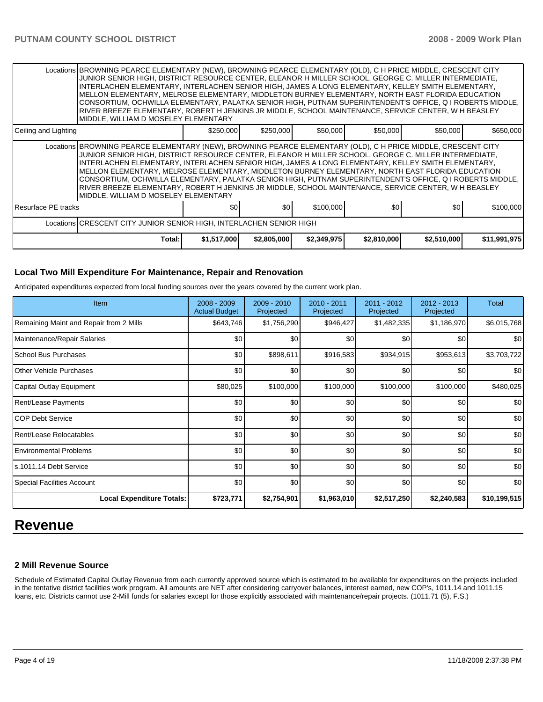|                      | Locations BROWNING PEARCE ELEMENTARY (NEW), BROWNING PEARCE ELEMENTARY (OLD), C H PRICE MIDDLE, CRESCENT CITY<br>JUNIOR SENIOR HIGH, DISTRICT RESOURCE CENTER, ELEANOR H MILLER SCHOOL, GEORGE C. MILLER INTERMEDIATE,<br>INTERLACHEN ELEMENTARY, INTERLACHEN SENIOR HIGH, JAMES A LONG ELEMENTARY, KELLEY SMITH ELEMENTARY,<br>MELLON ELEMENTARY, MELROSE ELEMENTARY, MIDDLETON BURNEY ELEMENTARY, NORTH EAST FLORIDA EDUCATION<br>CONSORTIUM, OCHWILLA ELEMENTARY, PALATKA SENIOR HIGH, PUTNAM SUPERINTENDENT'S OFFICE, Q I ROBERTS MIDDLE,<br>RIVER BREEZE ELEMENTARY, ROBERT H JENKINS JR MIDDLE, SCHOOL MAINTENANCE, SERVICE CENTER, W H BEASLEY<br>MIDDLE, WILLIAM D MOSELEY ELEMENTARY |             |                  |             |             |             |              |  |  |
|----------------------|-----------------------------------------------------------------------------------------------------------------------------------------------------------------------------------------------------------------------------------------------------------------------------------------------------------------------------------------------------------------------------------------------------------------------------------------------------------------------------------------------------------------------------------------------------------------------------------------------------------------------------------------------------------------------------------------------|-------------|------------------|-------------|-------------|-------------|--------------|--|--|
| Ceiling and Lighting |                                                                                                                                                                                                                                                                                                                                                                                                                                                                                                                                                                                                                                                                                               | \$250,000   | \$250,000        | \$50,000    | \$50,000    | \$50,000    | \$650,000    |  |  |
|                      | Locations BROWNING PEARCE ELEMENTARY (NEW), BROWNING PEARCE ELEMENTARY (OLD), C H PRICE MIDDLE, CRESCENT CITY<br>JUNIOR SENIOR HIGH, DISTRICT RESOURCE CENTER, ELEANOR H MILLER SCHOOL, GEORGE C. MILLER INTERMEDIATE,<br>INTERLACHEN ELEMENTARY, INTERLACHEN SENIOR HIGH, JAMES A LONG ELEMENTARY, KELLEY SMITH ELEMENTARY,<br>MELLON ELEMENTARY, MELROSE ELEMENTARY, MIDDLETON BURNEY ELEMENTARY, NORTH EAST FLORIDA EDUCATION<br>CONSORTIUM, OCHWILLA ELEMENTARY, PALATKA SENIOR HIGH, PUTNAM SUPERINTENDENT'S OFFICE, Q I ROBERTS MIDDLE,<br>RIVER BREEZE ELEMENTARY, ROBERT H JENKINS JR MIDDLE, SCHOOL MAINTENANCE, SERVICE CENTER, W H BEASLEY<br>MIDDLE, WILLIAM D MOSELEY ELEMENTARY |             |                  |             |             |             |              |  |  |
| Resurface PE tracks  |                                                                                                                                                                                                                                                                                                                                                                                                                                                                                                                                                                                                                                                                                               | \$0         | \$0 <sub>1</sub> | \$100,000   | \$0         | \$0         | \$100,000    |  |  |
|                      | Locations CRESCENT CITY JUNIOR SENIOR HIGH, INTERLACHEN SENIOR HIGH                                                                                                                                                                                                                                                                                                                                                                                                                                                                                                                                                                                                                           |             |                  |             |             |             |              |  |  |
|                      | Total:                                                                                                                                                                                                                                                                                                                                                                                                                                                                                                                                                                                                                                                                                        | \$1,517,000 | \$2,805,000      | \$2,349,975 | \$2,810,000 | \$2,510,000 | \$11,991,975 |  |  |

#### **Local Two Mill Expenditure For Maintenance, Repair and Renovation**

Anticipated expenditures expected from local funding sources over the years covered by the current work plan.

| <b>Item</b>                             | $2008 - 2009$<br><b>Actual Budget</b> | 2009 - 2010<br>Projected | $2010 - 2011$<br>Projected | 2011 - 2012<br>Projected | 2012 - 2013<br>Projected | Total        |
|-----------------------------------------|---------------------------------------|--------------------------|----------------------------|--------------------------|--------------------------|--------------|
| Remaining Maint and Repair from 2 Mills | \$643,746                             | \$1,756,290              | \$946,427                  | \$1,482,335              | \$1,186,970              | \$6,015,768  |
| Maintenance/Repair Salaries             | \$0                                   | \$0                      | \$0                        | \$0                      | \$0                      | \$0          |
| School Bus Purchases                    | \$0                                   | \$898,611                | \$916,583                  | \$934,915                | \$953,613                | \$3,703,722  |
| Other Vehicle Purchases                 | \$0                                   | \$0                      | \$0                        | \$0                      | \$0                      | \$0          |
| Capital Outlay Equipment                | \$80,025                              | \$100,000                | \$100,000                  | \$100,000                | \$100,000                | \$480,025    |
| <b>Rent/Lease Payments</b>              | \$0                                   | \$0                      | \$0                        | \$0                      | \$0                      | \$0          |
| <b>COP Debt Service</b>                 | \$0                                   | \$0                      | \$0                        | \$0                      | \$0                      | \$0          |
| Rent/Lease Relocatables                 | \$0                                   | \$0                      | \$0                        | \$0                      | \$0                      | \$0          |
| <b>Environmental Problems</b>           | \$0                                   | \$0                      | \$0                        | \$0                      | \$0                      | \$0          |
| s.1011.14 Debt Service                  | \$0                                   | \$0                      | \$0                        | \$0                      | \$0                      | \$0          |
| <b>Special Facilities Account</b>       | \$0                                   | \$0                      | \$0                        | \$0                      | \$0                      | \$0          |
| <b>Local Expenditure Totals:</b>        | \$723,771                             | \$2,754,901              | \$1,963,010                | \$2,517,250              | \$2,240,583              | \$10,199,515 |

# **Revenue**

### **2 Mill Revenue Source**

Schedule of Estimated Capital Outlay Revenue from each currently approved source which is estimated to be available for expenditures on the projects included in the tentative district facilities work program. All amounts are NET after considering carryover balances, interest earned, new COP's, 1011.14 and 1011.15 loans, etc. Districts cannot use 2-Mill funds for salaries except for those explicitly associated with maintenance/repair projects. (1011.71 (5), F.S.)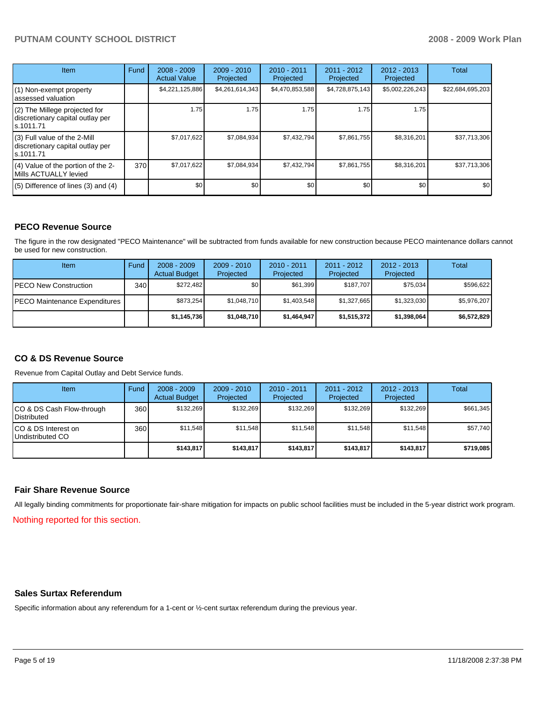# PUTNAM COUNTY SCHOOL DISTRICT **2008 - 2009 Work Plan**

| <b>Item</b>                                                                    | Fund | $2008 - 2009$<br><b>Actual Value</b> | $2009 - 2010$<br>Projected | $2010 - 2011$<br>Projected | 2011 - 2012<br>Projected | $2012 - 2013$<br>Projected | Total            |
|--------------------------------------------------------------------------------|------|--------------------------------------|----------------------------|----------------------------|--------------------------|----------------------------|------------------|
| (1) Non-exempt property<br>assessed valuation                                  |      | \$4,221,125,886                      | \$4,261,614,343            | \$4,470,853,588            | \$4,728,875,143          | \$5,002,226,243            | \$22,684,695,203 |
| (2) The Millege projected for<br>discretionary capital outlay per<br>s.1011.71 |      | 1.75                                 | 1.75                       | 1.75                       | 1.75                     | 1.75                       |                  |
| (3) Full value of the 2-Mill<br>discretionary capital outlay per<br>s.1011.71  |      | \$7,017,622                          | \$7,084,934                | \$7,432,794                | \$7,861,755              | \$8,316,201                | \$37,713,306     |
| (4) Value of the portion of the 2-<br>Mills ACTUALLY levied                    | 370  | \$7,017,622                          | \$7,084,934                | \$7,432,794                | \$7,861,755              | \$8,316,201                | \$37,713,306     |
| $(5)$ Difference of lines $(3)$ and $(4)$                                      |      | \$0                                  | \$0                        | \$0                        | \$0                      | \$0                        | \$0              |

# **PECO Revenue Source**

The figure in the row designated "PECO Maintenance" will be subtracted from funds available for new construction because PECO maintenance dollars cannot be used for new construction.

| Item                                 | Fund | $2008 - 2009$<br><b>Actual Budget</b> | $2009 - 2010$<br>Projected | 2010 - 2011<br>Projected | 2011 - 2012<br>Projected | $2012 - 2013$<br>Projected | Total       |
|--------------------------------------|------|---------------------------------------|----------------------------|--------------------------|--------------------------|----------------------------|-------------|
| <b>IPECO New Construction</b>        | 340  | \$272.482                             | \$0 <sub>1</sub>           | \$61.399                 | \$187,707                | \$75,034                   | \$596,622   |
| <b>PECO Maintenance Expenditures</b> |      | \$873.254                             | \$1,048,710                | \$1,403,548              | \$1,327,665              | \$1,323,030                | \$5,976,207 |
|                                      |      | \$1,145,736                           | \$1,048,710                | \$1,464,947              | \$1,515,372              | \$1,398,064                | \$6,572,829 |

# **CO & DS Revenue Source**

Revenue from Capital Outlay and Debt Service funds.

| Item                                               | Fund  | $2008 - 2009$<br><b>Actual Budget</b> | $2009 - 2010$<br>Projected | $2010 - 2011$<br>Projected | 2011 - 2012<br>Projected | $2012 - 2013$<br>Projected | Total     |
|----------------------------------------------------|-------|---------------------------------------|----------------------------|----------------------------|--------------------------|----------------------------|-----------|
| ICO & DS Cash Flow-through<br><b>I</b> Distributed | 360   | \$132.269                             | \$132,269                  | \$132.269                  | \$132.269                | \$132,269                  | \$661,345 |
| ICO & DS Interest on<br>Undistributed CO           | 360 l | \$11.548                              | \$11,548                   | \$11.548                   | \$11.548                 | \$11,548                   | \$57,740  |
|                                                    |       | \$143.817                             | \$143,817                  | \$143.817                  | \$143.817                | \$143,817                  | \$719,085 |

#### **Fair Share Revenue Source**

All legally binding commitments for proportionate fair-share mitigation for impacts on public school facilities must be included in the 5-year district work program.

Nothing reported for this section.

#### **Sales Surtax Referendum**

Specific information about any referendum for a 1-cent or ½-cent surtax referendum during the previous year.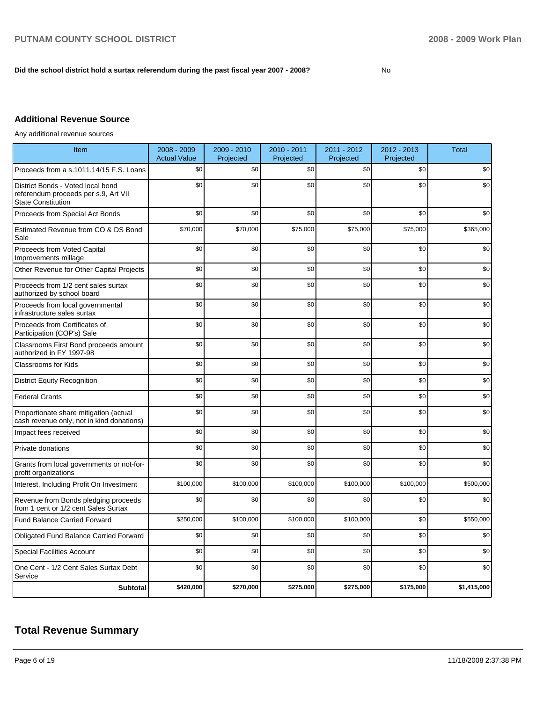#### Did the school district hold a surtax referendum during the past fiscal year 2007 - 2008?

# **Additional Revenue Source**

Any additional revenue sources

| Item                                                                                                   | 2008 - 2009<br><b>Actual Value</b> | 2009 - 2010<br>Projected | 2010 - 2011<br>Projected | 2011 - 2012<br>Projected | 2012 - 2013<br>Projected | <b>Total</b> |
|--------------------------------------------------------------------------------------------------------|------------------------------------|--------------------------|--------------------------|--------------------------|--------------------------|--------------|
| Proceeds from a s.1011.14/15 F.S. Loans                                                                | \$0                                | \$0                      | \$0                      | \$0                      | \$0                      | \$0          |
| District Bonds - Voted local bond<br>referendum proceeds per s.9, Art VII<br><b>State Constitution</b> | \$0                                | \$0                      | \$0                      | \$0                      | \$0                      | \$0          |
| Proceeds from Special Act Bonds                                                                        | \$0                                | \$0                      | \$0                      | \$0                      | \$0                      | \$0          |
| Estimated Revenue from CO & DS Bond<br>Sale                                                            | \$70,000                           | \$70,000                 | \$75,000                 | \$75,000                 | \$75,000                 | \$365,000    |
| Proceeds from Voted Capital<br>Improvements millage                                                    | \$0                                | \$0                      | \$0                      | \$0                      | \$0                      | \$0          |
| Other Revenue for Other Capital Projects                                                               | \$0                                | \$0                      | \$0                      | \$0                      | \$0                      | \$0          |
| Proceeds from 1/2 cent sales surtax<br>authorized by school board                                      | \$0                                | \$0                      | \$0                      | \$0                      | \$0                      | \$0          |
| Proceeds from local governmental<br>infrastructure sales surtax                                        | \$0                                | \$0                      | \$0                      | \$0                      | \$0                      | \$0          |
| Proceeds from Certificates of<br>Participation (COP's) Sale                                            | \$0                                | \$0                      | \$0                      | \$0                      | \$0                      | \$0          |
| Classrooms First Bond proceeds amount<br>authorized in FY 1997-98                                      | \$0                                | \$0                      | \$0                      | \$0                      | \$0                      | \$0          |
| <b>Classrooms for Kids</b>                                                                             | \$0                                | \$0                      | \$0                      | \$0                      | \$0                      | \$0          |
| <b>District Equity Recognition</b>                                                                     | \$0                                | \$0                      | \$0                      | \$0                      | \$0                      | \$0          |
| <b>Federal Grants</b>                                                                                  | \$0                                | \$0                      | \$0                      | \$0                      | \$0                      | \$0          |
| Proportionate share mitigation (actual<br>cash revenue only, not in kind donations)                    | \$0                                | \$0                      | \$0                      | \$0                      | \$0                      | \$0          |
| Impact fees received                                                                                   | \$0                                | \$0                      | \$0                      | \$0                      | \$0                      | \$0          |
| Private donations                                                                                      | \$0                                | \$0                      | \$0                      | \$0                      | \$0                      | \$0          |
| Grants from local governments or not-for-<br>profit organizations                                      | \$0                                | \$0                      | \$0                      | \$0                      | \$0                      | \$0          |
| Interest, Including Profit On Investment                                                               | \$100,000                          | \$100,000                | \$100,000                | \$100,000                | \$100,000                | \$500,000    |
| Revenue from Bonds pledging proceeds<br>from 1 cent or 1/2 cent Sales Surtax                           | \$0                                | \$0                      | \$0                      | \$0                      | \$0                      | \$0          |
| <b>Fund Balance Carried Forward</b>                                                                    | \$250,000                          | \$100,000                | \$100,000                | \$100,000                | \$0                      | \$550,000    |
| <b>Obligated Fund Balance Carried Forward</b>                                                          | \$0                                | \$0                      | \$0                      | \$0                      | \$0                      | \$0          |
| <b>Special Facilities Account</b>                                                                      | \$0                                | \$0                      | \$0                      | \$0                      | \$0                      | \$0          |
| One Cent - 1/2 Cent Sales Surtax Debt<br>Service                                                       | \$0                                | \$0                      | \$0                      | \$0                      | \$0                      | \$0          |
| <b>Subtotal</b>                                                                                        | \$420,000                          | \$270,000                | \$275,000                | \$275,000                | \$175,000                | \$1,415,000  |

# **Total Revenue Summary**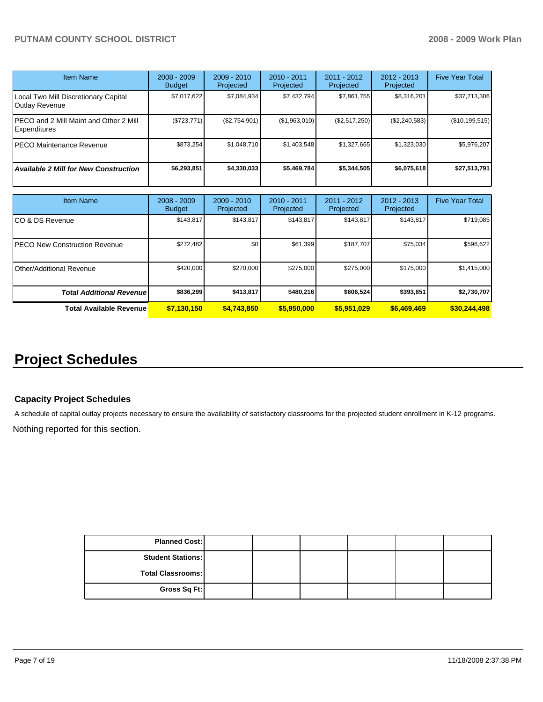| <b>Item Name</b>                                              | $2008 - 2009$<br><b>Budget</b> | $2009 - 2010$<br>Projected | $2010 - 2011$<br>Projected | $2011 - 2012$<br>Projected | $2012 - 2013$<br>Projected | <b>Five Year Total</b> |
|---------------------------------------------------------------|--------------------------------|----------------------------|----------------------------|----------------------------|----------------------------|------------------------|
| Local Two Mill Discretionary Capital<br>Outlay Revenue        | \$7,017,622                    | \$7,084,934                | \$7,432,794                | \$7,861,755                | \$8,316,201                | \$37,713,306           |
| PECO and 2 Mill Maint and Other 2 Mill<br><b>Expenditures</b> | (\$723,771)                    | (\$2,754,901)              | (\$1,963,010)              | (\$2,517,250)              | (\$2,240,583)              | (\$10,199,515)         |
| <b>PECO Maintenance Revenue</b>                               | \$873.254                      | \$1,048,710                | \$1,403,548                | \$1,327,665                | \$1,323,030                | \$5,976,207            |
| <b>Available 2 Mill for New Construction</b>                  | \$6,293,851                    | \$4,330,033                | \$5,469,784                | \$5,344,505                | \$6,075,618                | \$27,513,791           |

| <b>Item Name</b>                      | $2008 - 2009$<br><b>Budget</b> | $2009 - 2010$<br>Projected | $2010 - 2011$<br>Projected | $2011 - 2012$<br>Projected | $2012 - 2013$<br>Projected | <b>Five Year Total</b> |
|---------------------------------------|--------------------------------|----------------------------|----------------------------|----------------------------|----------------------------|------------------------|
| ICO & DS Revenue                      | \$143,817                      | \$143,817                  | \$143.817                  | \$143,817                  | \$143,817                  | \$719,085              |
| <b>IPECO New Construction Revenue</b> | \$272,482                      | \$0                        | \$61,399                   | \$187,707                  | \$75,034                   | \$596,622              |
| <b>I</b> Other/Additional Revenue     | \$420,000                      | \$270,000                  | \$275,000                  | \$275,000                  | \$175,000                  | \$1,415,000            |
| <b>Total Additional Revenuel</b>      | \$836.299                      | \$413,817                  | \$480.216                  | \$606,524                  | \$393,851                  | \$2,730,707            |
| <b>Total Available Revenue</b>        | \$7,130,150                    | \$4,743,850                | \$5,950,000                | \$5,951,029                | \$6,469,469                | \$30,244,498           |

# **Project Schedules**

# **Capacity Project Schedules**

A schedule of capital outlay projects necessary to ensure the availability of satisfactory classrooms for the projected student enrollment in K-12 programs.

Nothing reported for this section.

| <b>Planned Cost:</b>     |  |  |  |
|--------------------------|--|--|--|
| <b>Student Stations:</b> |  |  |  |
| <b>Total Classrooms:</b> |  |  |  |
| Gross Sq Ft:             |  |  |  |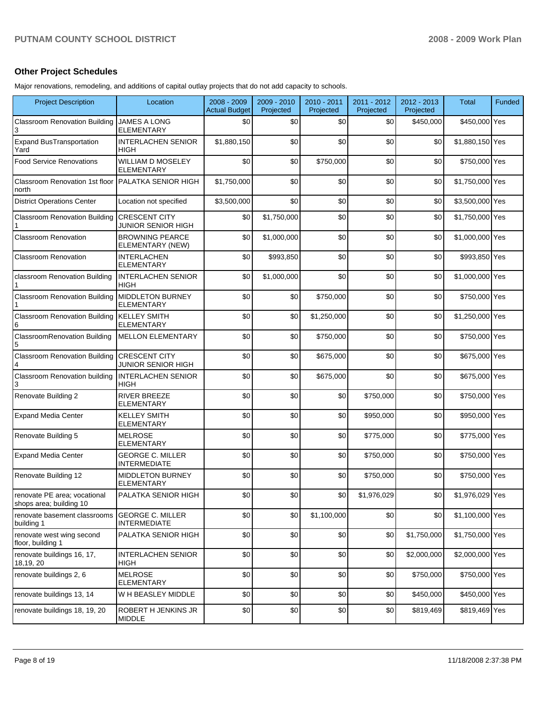# **Other Project Schedules**

Major renovations, remodeling, and additions of capital outlay projects that do not add capacity to schools.

| <b>Project Description</b>                              | Location                                          | 2008 - 2009<br><b>Actual Budget</b> | 2009 - 2010<br>Projected | 2010 - 2011<br>Projected | 2011 - 2012<br>Projected | 2012 - 2013<br>Projected | Total           | <b>Funded</b> |
|---------------------------------------------------------|---------------------------------------------------|-------------------------------------|--------------------------|--------------------------|--------------------------|--------------------------|-----------------|---------------|
| <b>Classroom Renovation Building</b><br>3               | <b>JAMES A LONG</b><br><b>ELEMENTARY</b>          | \$0                                 | \$0                      | \$0                      | \$0                      | \$450,000                | \$450,000 Yes   |               |
| <b>Expand BusTransportation</b><br>Yard                 | <b>INTERLACHEN SENIOR</b><br><b>HIGH</b>          | \$1,880,150                         | \$0                      | \$0                      | \$0                      | \$0                      | \$1,880,150 Yes |               |
| <b>Food Service Renovations</b>                         | <b>WILLIAM D MOSELEY</b><br><b>ELEMENTARY</b>     | \$0                                 | \$0                      | \$750,000                | \$0                      | \$0                      | \$750,000 Yes   |               |
| Classroom Renovation 1st floor<br>north                 | <b>PALATKA SENIOR HIGH</b>                        | \$1,750,000                         | \$0                      | \$0                      | \$0                      | \$0                      | \$1,750,000 Yes |               |
| <b>District Operations Center</b>                       | Location not specified                            | \$3,500,000                         | \$0                      | \$0                      | \$0                      | \$0                      | \$3,500,000 Yes |               |
| <b>Classroom Renovation Building</b>                    | <b>CRESCENT CITY</b><br><b>JUNIOR SENIOR HIGH</b> | \$0                                 | \$1,750,000              | \$0                      | \$0                      | \$0                      | \$1,750,000 Yes |               |
| <b>Classroom Renovation</b>                             | <b>BROWNING PEARCE</b><br>ELEMENTARY (NEW)        | \$0                                 | \$1,000,000              | \$0                      | \$0                      | \$0                      | \$1,000,000 Yes |               |
| <b>Classroom Renovation</b>                             | <b>INTERLACHEN</b><br><b>ELEMENTARY</b>           | \$0                                 | \$993,850                | \$0                      | \$0                      | \$0                      | \$993,850 Yes   |               |
| classroom Renovation Building                           | <b>INTERLACHEN SENIOR</b><br><b>HIGH</b>          | \$0                                 | \$1,000,000              | \$0                      | \$0                      | \$0                      | \$1,000,000 Yes |               |
| <b>Classroom Renovation Building</b>                    | <b>MIDDLETON BURNEY</b><br><b>ELEMENTARY</b>      | \$0                                 | \$0                      | \$750,000                | \$0                      | \$0                      | \$750,000 Yes   |               |
| <b>Classroom Renovation Building</b><br>6               | <b>KELLEY SMITH</b><br><b>ELEMENTARY</b>          | \$0                                 | \$0                      | \$1,250,000              | \$0                      | \$0                      | \$1,250,000 Yes |               |
| <b>ClassroomRenovation Building</b><br>5                | <b>MELLON ELEMENTARY</b>                          | \$0                                 | \$0                      | \$750,000                | \$0                      | \$0                      | \$750,000 Yes   |               |
| <b>Classroom Renovation Building</b>                    | <b>CRESCENT CITY</b><br><b>JUNIOR SENIOR HIGH</b> | \$0                                 | \$0                      | \$675,000                | \$0                      | \$0                      | \$675,000 Yes   |               |
| Classroom Renovation building<br>3                      | <b>INTERLACHEN SENIOR</b><br><b>HIGH</b>          | \$0                                 | \$0                      | \$675,000                | \$0                      | \$0                      | \$675,000 Yes   |               |
| Renovate Building 2                                     | <b>RIVER BREEZE</b><br>ELEMENTARY                 | \$0                                 | \$0                      | \$0                      | \$750,000                | \$0                      | \$750,000 Yes   |               |
| <b>Expand Media Center</b>                              | <b>KELLEY SMITH</b><br><b>ELEMENTARY</b>          | \$0                                 | \$0                      | \$0                      | \$950,000                | \$0                      | \$950,000 Yes   |               |
| Renovate Building 5                                     | <b>MELROSE</b><br>ELEMENTARY                      | \$0                                 | \$0                      | \$0                      | \$775,000                | \$0                      | \$775,000 Yes   |               |
| <b>Expand Media Center</b>                              | <b>GEORGE C. MILLER</b><br><b>INTERMEDIATE</b>    | \$0                                 | \$0                      | \$0                      | \$750,000                | \$0                      | \$750,000 Yes   |               |
| Renovate Building 12                                    | <b>MIDDLETON BURNEY</b><br>ELEMENTARY             | \$0                                 | \$0                      | \$0                      | \$750,000                | \$0                      | \$750,000 Yes   |               |
| renovate PE area; vocational<br>shops area; building 10 | PALATKA SENIOR HIGH                               | \$0                                 | \$0                      | \$0                      | \$1,976,029              | \$0                      | \$1,976,029 Yes |               |
| renovate basement classrooms<br>building 1              | <b>GEORGE C. MILLER</b><br><b>INTERMEDIATE</b>    | \$0                                 | \$0                      | \$1,100,000              | \$0                      | \$0                      | \$1,100,000 Yes |               |
| renovate west wing second<br>floor, building 1          | PALATKA SENIOR HIGH                               | \$0                                 | \$0                      | \$0                      | \$0                      | \$1,750,000              | \$1,750,000 Yes |               |
| renovate buildings 16, 17,<br>18,19, 20                 | <b>INTERLACHEN SENIOR</b><br>HIGH                 | \$0                                 | \$0                      | \$0                      | \$0                      | \$2,000,000              | \$2,000,000 Yes |               |
| renovate buildings 2, 6                                 | <b>MELROSE</b><br><b>ELEMENTARY</b>               | \$0                                 | \$0                      | \$0                      | \$0                      | \$750,000                | \$750,000 Yes   |               |
| renovate buildings 13, 14                               | W H BEASLEY MIDDLE                                | \$0                                 | \$0                      | \$0                      | \$0                      | \$450,000                | \$450,000 Yes   |               |
| renovate buildings 18, 19, 20                           | ROBERT H JENKINS JR<br><b>MIDDLE</b>              | \$0                                 | \$0                      | \$0                      | \$0                      | \$819,469                | \$819,469 Yes   |               |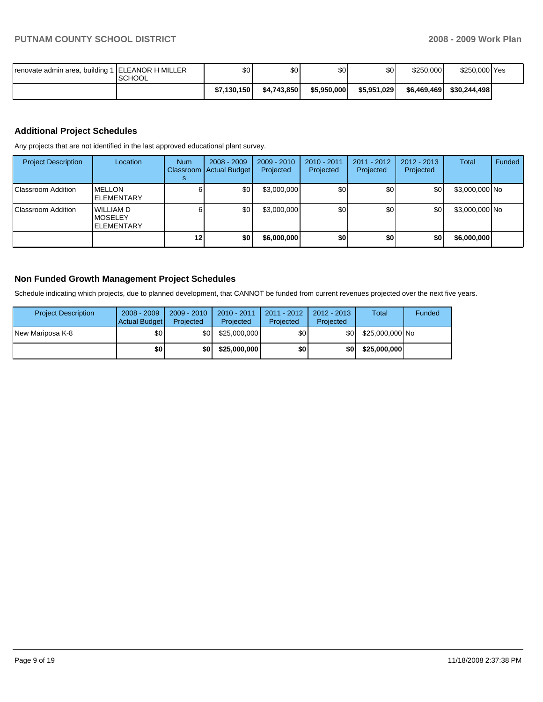| renovate admin area, building 1 ELEANOR H MILLER | <b>ISCHOOL</b> | \$0         | \$0         | \$0         | \$0 <sub>1</sub> | \$250,000   | \$250,000 Yes |  |
|--------------------------------------------------|----------------|-------------|-------------|-------------|------------------|-------------|---------------|--|
|                                                  |                | \$7.130.150 | \$4.743.850 | \$5,950,000 | \$5,951,029      | \$6,469,469 | \$30.244.498  |  |

# **Additional Project Schedules**

Any projects that are not identified in the last approved educational plant survey.

| <b>Project Description</b> | Location                                                 | <b>Num</b> | $2008 - 2009$<br>Classroom   Actual Budget | $2009 - 2010$<br>Projected | 2010 - 2011<br>Projected | $2011 - 2012$<br>Projected | 2012 - 2013<br>Projected | Total          | Funded |
|----------------------------|----------------------------------------------------------|------------|--------------------------------------------|----------------------------|--------------------------|----------------------------|--------------------------|----------------|--------|
| Classroom Addition         | <b>MELLON</b><br><b>ELEMENTARY</b>                       |            | \$0                                        | \$3,000,000                | \$0                      | \$0                        | \$0                      | \$3,000,000 No |        |
| Classroom Addition         | <b>WILLIAM D</b><br><b>IMOSELEY</b><br><b>ELEMENTARY</b> |            | \$0                                        | \$3,000,000                | \$0                      | \$0                        | \$0                      | \$3,000,000 No |        |
|                            |                                                          | 12         | \$0                                        | \$6,000,000                | \$0                      | \$0                        | \$0                      | \$6,000,000    |        |

### **Non Funded Growth Management Project Schedules**

Schedule indicating which projects, due to planned development, that CANNOT be funded from current revenues projected over the next five years.

| <b>Project Description</b> | $2008 - 2009$<br>Actual Budget | $2009 - 2010$<br>Projected | $2010 - 2011$<br>Projected | $2011 - 2012$<br>Projected | $2012 - 2013$<br>Projected | Total           | Funded |
|----------------------------|--------------------------------|----------------------------|----------------------------|----------------------------|----------------------------|-----------------|--------|
| INew Mariposa K-8          | \$OI                           | \$0                        | \$25,000,000               | \$0                        | \$0 I                      | \$25,000,000 No |        |
|                            | \$0 I                          | \$0                        | \$25,000,000               | \$0                        | \$0                        | \$25,000,000    |        |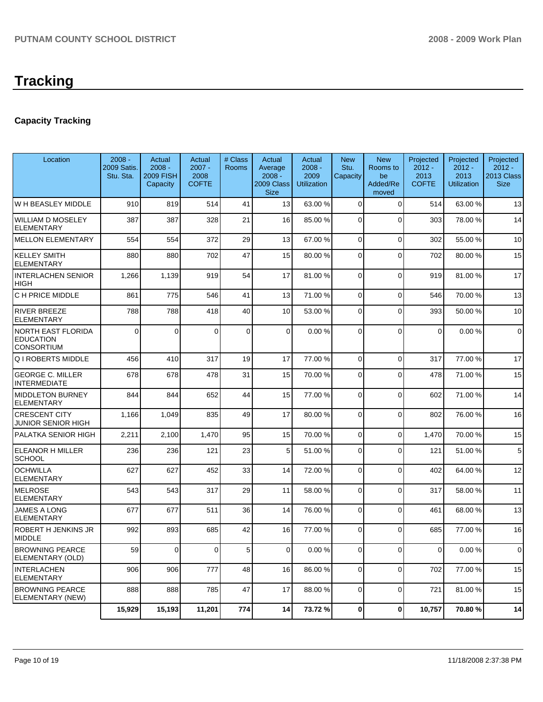# **Capacity Tracking**

| Location                                                    | $2008 -$<br><b>2009 Satis.</b><br>Stu. Sta. | Actual<br>$2008 -$<br><b>2009 FISH</b><br>Capacity | Actual<br>$2007 -$<br>2008<br><b>COFTE</b> | # Class<br><b>Rooms</b> | Actual<br>Average<br>$2008 -$<br>2009 Class<br><b>Size</b> | Actual<br>$2008 -$<br>2009<br><b>Utilization</b> | <b>New</b><br>Stu.<br>Capacity | <b>New</b><br>Rooms to<br>be<br>Added/Re<br>moved | Projected<br>$2012 -$<br>2013<br><b>COFTE</b> | Projected<br>$2012 -$<br>2013<br>Utilization | Projected<br>$2012 -$<br>2013 Class<br><b>Size</b> |
|-------------------------------------------------------------|---------------------------------------------|----------------------------------------------------|--------------------------------------------|-------------------------|------------------------------------------------------------|--------------------------------------------------|--------------------------------|---------------------------------------------------|-----------------------------------------------|----------------------------------------------|----------------------------------------------------|
| W H BEASLEY MIDDLE                                          | 910                                         | 819                                                | 514                                        | 41                      | 13                                                         | 63.00 %                                          | $\Omega$                       | $\Omega$                                          | 514                                           | 63.00 %                                      | 13                                                 |
| <b>WILLIAM D MOSELEY</b><br><b>ELEMENTARY</b>               | 387                                         | 387                                                | 328                                        | 21                      | 16                                                         | 85.00 %                                          | $\Omega$                       | $\Omega$                                          | 303                                           | 78.00 %                                      | 14                                                 |
| <b>MELLON ELEMENTARY</b>                                    | 554                                         | 554                                                | 372                                        | 29                      | 13                                                         | 67.00 %                                          | $\Omega$                       | 0                                                 | 302                                           | 55.00 %                                      | 10                                                 |
| <b>KELLEY SMITH</b><br><b>ELEMENTARY</b>                    | 880                                         | 880                                                | 702                                        | 47                      | 15                                                         | 80.00 %                                          | $\Omega$                       | $\Omega$                                          | 702                                           | 80.00 %                                      | 15                                                 |
| <b>INTERLACHEN SENIOR</b><br>HIGH                           | 1,266                                       | 1,139                                              | 919                                        | 54                      | 17                                                         | 81.00 %                                          | $\mathbf 0$                    | $\Omega$                                          | 919                                           | 81.00 %                                      | 17                                                 |
| C H PRICE MIDDLE                                            | 861                                         | 775                                                | 546                                        | 41                      | 13                                                         | 71.00 %                                          | 0                              | $\Omega$                                          | 546                                           | 70.00 %                                      | 13                                                 |
| <b>RIVER BREEZE</b><br>ELEMENTARY                           | 788                                         | 788                                                | 418                                        | 40                      | 10                                                         | 53.00 %                                          | 0                              | $\Omega$                                          | 393                                           | 50.00 %                                      | 10                                                 |
| NORTH EAST FLORIDA<br><b>EDUCATION</b><br><b>CONSORTIUM</b> | $\Omega$                                    | $\Omega$                                           | $\Omega$                                   | 0                       | $\Omega$                                                   | 0.00%                                            | $\Omega$                       | $\Omega$                                          | $\mathbf 0$                                   | 0.00%                                        | $\mathbf 0$                                        |
| <b>Q I ROBERTS MIDDLE</b>                                   | 456                                         | 410                                                | 317                                        | 19                      | 17                                                         | 77.00 %                                          | 0                              | $\Omega$                                          | 317                                           | 77.00 %                                      | 17                                                 |
| <b>GEORGE C. MILLER</b><br>INTERMEDIATE                     | 678                                         | 678                                                | 478                                        | 31                      | 15                                                         | 70.00 %                                          | 0                              | $\Omega$                                          | 478                                           | 71.00 %                                      | 15                                                 |
| <b>MIDDLETON BURNEY</b><br>ELEMENTARY                       | 844                                         | 844                                                | 652                                        | 44                      | 15                                                         | 77.00 %                                          | $\Omega$                       | $\Omega$                                          | 602                                           | 71.00 %                                      | 14                                                 |
| <b>CRESCENT CITY</b><br>JUNIOR SENIOR HIGH                  | 1,166                                       | 1,049                                              | 835                                        | 49                      | 17                                                         | 80.00 %                                          | $\Omega$                       | $\Omega$                                          | 802                                           | 76.00 %                                      | 16                                                 |
| PALATKA SENIOR HIGH                                         | 2,211                                       | 2,100                                              | 1,470                                      | 95                      | 15                                                         | 70.00 %                                          | 0                              | $\Omega$                                          | 1,470                                         | 70.00 %                                      | 15                                                 |
| ELEANOR H MILLER<br><b>SCHOOL</b>                           | 236                                         | 236                                                | 121                                        | 23                      | 5                                                          | 51.00 %                                          | 0                              | $\Omega$                                          | 121                                           | 51.00 %                                      | 5                                                  |
| <b>OCHWILLA</b><br><b>ELEMENTARY</b>                        | 627                                         | 627                                                | 452                                        | 33                      | 14                                                         | 72.00 %                                          | 0                              | $\Omega$                                          | 402                                           | 64.00 %                                      | 12                                                 |
| <b>MELROSE</b><br><b>ELEMENTARY</b>                         | 543                                         | 543                                                | 317                                        | 29                      | 11                                                         | 58.00 %                                          | $\Omega$                       | $\overline{0}$                                    | 317                                           | 58.00 %                                      | 11                                                 |
| <b>JAMES A LONG</b><br>ELEMENTARY                           | 677                                         | 677                                                | 511                                        | 36                      | 14                                                         | 76.00 %                                          | $\Omega$                       | $\Omega$                                          | 461                                           | 68.00 %                                      | 13                                                 |
| ROBERT H JENKINS JR<br>MIDDLE                               | 992                                         | 893                                                | 685                                        | 42                      | 16                                                         | 77.00 %                                          | 0                              | $\Omega$                                          | 685                                           | 77.00 %                                      | 16                                                 |
| <b>BROWNING PEARCE</b><br>ELEMENTARY (OLD)                  | 59                                          | 0                                                  | $\overline{0}$                             | 5 <sup>5</sup>          | $\overline{0}$                                             | 0.00%                                            | ΟI                             | 0                                                 | $\overline{O}$                                | $0.00 \%$                                    | $\mathbf{0}$                                       |
| <b>INTERLACHEN</b><br><b>ELEMENTARY</b>                     | 906                                         | 906                                                | 777                                        | 48                      | 16                                                         | 86.00 %                                          | $\overline{0}$                 | 0                                                 | 702                                           | 77.00 %                                      | 15                                                 |
| <b>BROWNING PEARCE</b><br>ELEMENTARY (NEW)                  | 888                                         | 888                                                | 785                                        | 47                      | 17                                                         | 88.00 %                                          | $\overline{0}$                 | 0                                                 | 721                                           | 81.00 %                                      | 15                                                 |
|                                                             | 15,929                                      | 15,193                                             | 11,201                                     | 774                     | 14                                                         | 73.72 %                                          | 0                              | 0                                                 | 10,757                                        | 70.80%                                       | 14                                                 |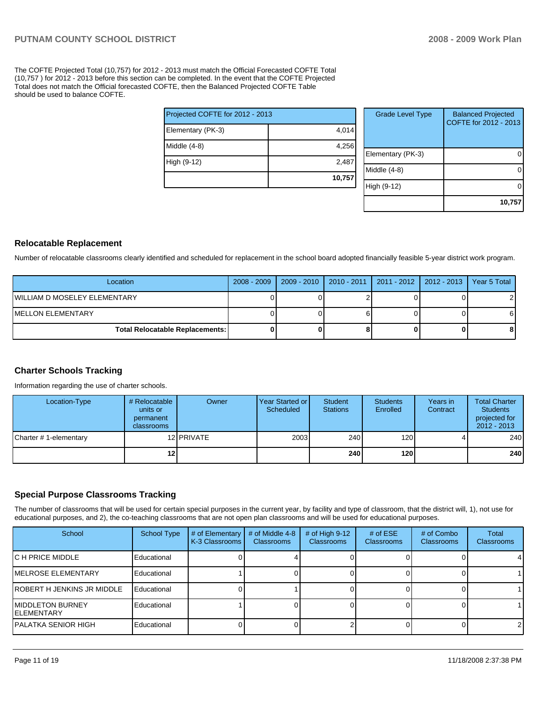The COFTE Projected Total (10,757) for 2012 - 2013 must match the Official Forecasted COFTE Total (10,757 ) for 2012 - 2013 before this section can be completed. In the event that the COFTE Projected Total does not match the Official forecasted COFTE, then the Balanced Projected COFTE Table should be used to balance COFTE.

| Projected COFTE for 2012 - 2013 |        |  |  |  |  |  |
|---------------------------------|--------|--|--|--|--|--|
| Elementary (PK-3)               | 4,014  |  |  |  |  |  |
| Middle (4-8)                    | 4,256  |  |  |  |  |  |
| High (9-12)                     | 2,487  |  |  |  |  |  |
|                                 | 10,757 |  |  |  |  |  |

| <b>Grade Level Type</b> | <b>Balanced Projected</b><br>COFTE for 2012 - 2013 |
|-------------------------|----------------------------------------------------|
| Elementary (PK-3)       |                                                    |
| Middle (4-8)            |                                                    |
| High (9-12)             |                                                    |
|                         | 10,757                                             |

#### **Relocatable Replacement**

Number of relocatable classrooms clearly identified and scheduled for replacement in the school board adopted financially feasible 5-year district work program.

| Location                               |  | 2008 - 2009   2009 - 2010   2010 - 2011   2011 - 2012   2012 - 2013   Year 5 Total |  |
|----------------------------------------|--|------------------------------------------------------------------------------------|--|
| IWILLIAM D MOSELEY ELEMENTARY          |  |                                                                                    |  |
| IMELLON ELEMENTARY                     |  |                                                                                    |  |
| <b>Total Relocatable Replacements:</b> |  |                                                                                    |  |

#### **Charter Schools Tracking**

Information regarding the use of charter schools.

| Location-Type          | # Relocatable  <br>units or<br>permanent<br><b>classrooms</b> | Owner      | Year Started or<br>Scheduled | Student<br><b>Stations</b> | <b>Students</b><br>Enrolled | Years in<br>Contract | <b>Total Charter</b><br><b>Students</b><br>projected for<br>$2012 - 2013$ |
|------------------------|---------------------------------------------------------------|------------|------------------------------|----------------------------|-----------------------------|----------------------|---------------------------------------------------------------------------|
| Charter # 1-elementary |                                                               | 12 PRIVATE | 2003                         | 240                        | 120 <sup>1</sup>            |                      | 240                                                                       |
|                        | 12                                                            |            |                              | 240                        | 120 l                       |                      | 240                                                                       |

# **Special Purpose Classrooms Tracking**

The number of classrooms that will be used for certain special purposes in the current year, by facility and type of classroom, that the district will, 1), not use for educational purposes, and 2), the co-teaching classrooms that are not open plan classrooms and will be used for educational purposes.

| School                           | <b>School Type</b> | # of Elementary<br>K-3 Classrooms | # of Middle 4-8<br><b>Classrooms</b> | # of High $9-12$<br><b>Classrooms</b> | # of $ESE$<br><b>Classrooms</b> | # of Combo<br><b>Classrooms</b> | Total<br><b>Classrooms</b> |
|----------------------------------|--------------------|-----------------------------------|--------------------------------------|---------------------------------------|---------------------------------|---------------------------------|----------------------------|
| IC H PRICE MIDDLE                | Educational        |                                   |                                      |                                       |                                 |                                 | 4                          |
| <b>IMELROSE ELEMENTARY</b>       | Educational        |                                   |                                      |                                       |                                 |                                 |                            |
| ROBERT H JENKINS JR MIDDLE       | Educational        |                                   |                                      |                                       |                                 |                                 |                            |
| IMIDDLETON BURNEY<br>IELEMENTARY | Educational        |                                   |                                      |                                       |                                 |                                 |                            |
| IPALATKA SENIOR HIGH             | Educational        |                                   |                                      |                                       |                                 |                                 | 2                          |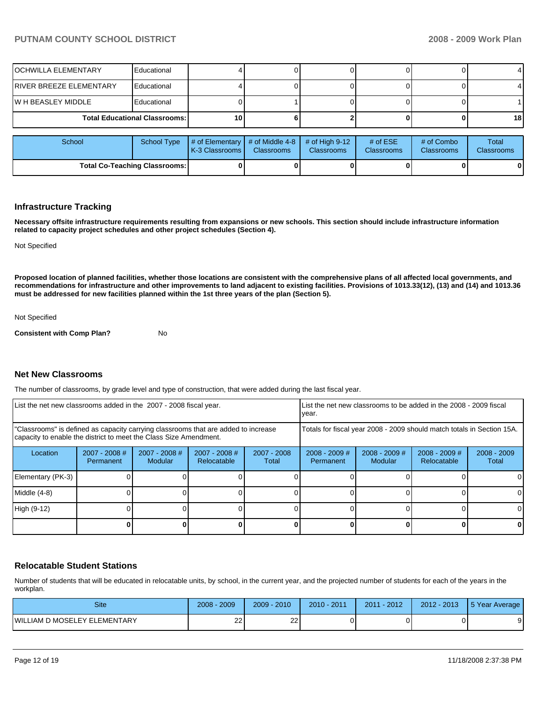| <b>Total Co-Teaching Classrooms:</b> |                                      |                                   |                                      |                                       |                                 |                                 |                            |
|--------------------------------------|--------------------------------------|-----------------------------------|--------------------------------------|---------------------------------------|---------------------------------|---------------------------------|----------------------------|
| School                               | <b>School Type</b>                   | # of Elementary<br>K-3 Classrooms | # of Middle 4-8<br><b>Classrooms</b> | # of High $9-12$<br><b>Classrooms</b> | # of $ESE$<br><b>Classrooms</b> | # of Combo<br><b>Classrooms</b> | Total<br><b>Classrooms</b> |
|                                      | <b>Total Educational Classrooms:</b> | 10                                |                                      |                                       |                                 |                                 | 18                         |
| W H BEASLEY MIDDLE<br>Educational    |                                      |                                   |                                      |                                       |                                 |                                 |                            |
| <b>RIVER BREEZE ELEMENTARY</b>       | Educational                          |                                   |                                      |                                       |                                 |                                 |                            |
| OCHWILLA ELEMENTARY                  | Educational                          |                                   |                                      |                                       |                                 |                                 |                            |

#### **Infrastructure Tracking**

**Necessary offsite infrastructure requirements resulting from expansions or new schools. This section should include infrastructure information related to capacity project schedules and other project schedules (Section 4).** 

Not Specified

**Proposed location of planned facilities, whether those locations are consistent with the comprehensive plans of all affected local governments, and recommendations for infrastructure and other improvements to land adjacent to existing facilities. Provisions of 1013.33(12), (13) and (14) and 1013.36 must be addressed for new facilities planned within the 1st three years of the plan (Section 5).** 

Not Specified

**Consistent with Comp Plan?** No

#### **Net New Classrooms**

The number of classrooms, by grade level and type of construction, that were added during the last fiscal year.

| List the net new classrooms added in the 2007 - 2008 fiscal year.                                                                                       |                              |                            |                                | List the net new classrooms to be added in the 2008 - 2009 fiscal<br>year. |                                                                        |                            |                                |                        |
|---------------------------------------------------------------------------------------------------------------------------------------------------------|------------------------------|----------------------------|--------------------------------|----------------------------------------------------------------------------|------------------------------------------------------------------------|----------------------------|--------------------------------|------------------------|
| "Classrooms" is defined as capacity carrying classrooms that are added to increase<br>capacity to enable the district to meet the Class Size Amendment. |                              |                            |                                |                                                                            | Totals for fiscal year 2008 - 2009 should match totals in Section 15A. |                            |                                |                        |
| Location                                                                                                                                                | $2007 - 2008$ #<br>Permanent | $2007 - 2008$ #<br>Modular | $2007 - 2008$ #<br>Relocatable | 2007 - 2008<br>Total                                                       | $2008 - 2009$ #<br><b>Permanent</b>                                    | $2008 - 2009$ #<br>Modular | $2008 - 2009$ #<br>Relocatable | $2008 - 2009$<br>Total |
| Elementary (PK-3)                                                                                                                                       |                              |                            |                                |                                                                            |                                                                        |                            |                                |                        |
| Middle (4-8)                                                                                                                                            |                              |                            |                                |                                                                            |                                                                        |                            |                                |                        |
| High (9-12)                                                                                                                                             |                              |                            |                                |                                                                            |                                                                        |                            |                                |                        |
|                                                                                                                                                         |                              |                            |                                |                                                                            |                                                                        |                            |                                | O                      |

# **Relocatable Student Stations**

Number of students that will be educated in relocatable units, by school, in the current year, and the projected number of students for each of the years in the workplan.

| <b>Site</b>                  | 2009<br>2008 | 2010<br>$2009 -$ | $-2011$<br>$2010 -$ | $-2012$<br>2011 | $2012 - 2013$ | 5 Year Average           |
|------------------------------|--------------|------------------|---------------------|-----------------|---------------|--------------------------|
| WILLIAM D MOSELEY ELEMENTARY | ົ<br>__      | ົ<br>∠∠          |                     |                 |               | $\overline{\phantom{0}}$ |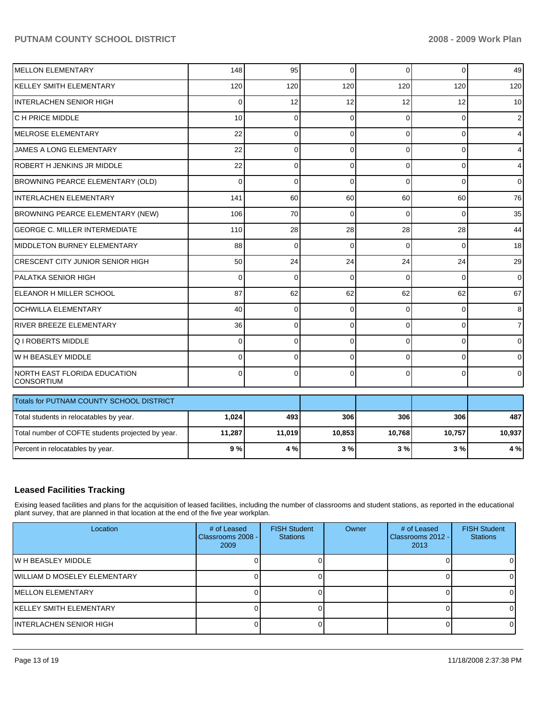# PUTNAM COUNTY SCHOOL DISTRICT **2008 - 2009 Work Plan**

| <b>IMELLON ELEMENTARY</b>                         | 148         | 95          | $\mathbf 0$    | $\Omega$ | $\Omega$ | 49             |
|---------------------------------------------------|-------------|-------------|----------------|----------|----------|----------------|
| <b>KELLEY SMITH ELEMENTARY</b>                    | 120         | 120         | 120            | 120      | 120      | 120            |
| <b>INTERLACHEN SENIOR HIGH</b>                    | 0           | 12          | 12             | 12       | 12       | 10             |
| C H PRICE MIDDLE                                  | 10          | $\Omega$    | $\Omega$       | $\Omega$ | $\Omega$ | $\overline{c}$ |
| IMELROSE ELEMENTARY                               | 22          | $\mathbf 0$ | $\Omega$       | $\Omega$ | $\Omega$ | $\overline{4}$ |
| JAMES A LONG ELEMENTARY                           | 22          | $\mathbf 0$ | 0              | $\Omega$ | 0        | $\overline{4}$ |
| ROBERT H JENKINS JR MIDDLE                        | 22          | $\mathbf 0$ | $\Omega$       | 0        | $\Omega$ | $\overline{4}$ |
| BROWNING PEARCE ELEMENTARY (OLD)                  | $\Omega$    | $\Omega$    | $\Omega$       | $\Omega$ | $\Omega$ | $\overline{0}$ |
| INTERLACHEN ELEMENTARY                            | 141         | 60          | 60             | 60       | 60       | 76             |
| BROWNING PEARCE ELEMENTARY (NEW)                  | 106         | 70          | $\Omega$       | $\Omega$ | $\Omega$ | 35             |
| <b>GEORGE C. MILLER INTERMEDIATE</b>              | 110         | 28          | 28             | 28       | 28       | 44             |
| MIDDLETON BURNEY ELEMENTARY                       | 88          | $\Omega$    | $\Omega$       | $\Omega$ | $\Omega$ | 18             |
| ICRESCENT CITY JUNIOR SENIOR HIGH                 | 50          | 24          | 24             | 24       | 24       | 29             |
| IPALATKA SENIOR HIGH                              | $\Omega$    | $\Omega$    | $\Omega$       | $\Omega$ | $\Omega$ | $\overline{0}$ |
| <b>IELEANOR H MILLER SCHOOL</b>                   | 87          | 62          | 62             | 62       | 62       | 67             |
| <b>OCHWILLA ELEMENTARY</b>                        | 40          | $\mathbf 0$ | $\mathbf 0$    | $\Omega$ | $\Omega$ | 8              |
| RIVER BREEZE ELEMENTARY                           | 36          | $\mathbf 0$ | $\overline{0}$ | $\Omega$ | 0        | $\overline{7}$ |
| Q I ROBERTS MIDDLE                                | $\Omega$    | $\Omega$    | $\Omega$       | $\Omega$ | $\Omega$ | $\overline{0}$ |
| W H BEASLEY MIDDLE                                | $\mathbf 0$ | $\mathbf 0$ | 0              | $\Omega$ | $\Omega$ | $\overline{0}$ |
| NORTH EAST FLORIDA EDUCATION<br> CONSORTIUM       | $\Omega$    | $\Omega$    | $\Omega$       | $\Omega$ | $\Omega$ | $\overline{0}$ |
| Totals for PUTNAM COUNTY SCHOOL DISTRICT          |             |             |                |          |          |                |
| Total students in relocatables by year.           | 1,024       | 493         | 306            | 306      | 306      | 487            |
| Total number of COFTE students projected by year. | 11,287      | 11,019      | 10,853         | 10,768   | 10,757   | 10,937         |
| Percent in relocatables by year.                  | 9%          | 4 %         | 3%             | 3%       | 3%       | 4 %            |

# **Leased Facilities Tracking**

Exising leased facilities and plans for the acquisition of leased facilities, including the number of classrooms and student stations, as reported in the educational plant survey, that are planned in that location at the end of the five year workplan.

| Location                      | # of Leased<br>Classrooms 2008 -<br>2009 | <b>FISH Student</b><br><b>Stations</b> | Owner | # of Leased<br>Classrooms 2012 - I<br>2013 | <b>FISH Student</b><br><b>Stations</b> |
|-------------------------------|------------------------------------------|----------------------------------------|-------|--------------------------------------------|----------------------------------------|
| IW H BEASLEY MIDDLE           |                                          |                                        |       |                                            |                                        |
| IWILLIAM D MOSELEY ELEMENTARY |                                          |                                        |       |                                            |                                        |
| IMELLON ELEMENTARY            |                                          |                                        |       |                                            |                                        |
| IKELLEY SMITH ELEMENTARY      |                                          |                                        |       |                                            |                                        |
| IINTERLACHEN SENIOR HIGH      |                                          |                                        |       |                                            |                                        |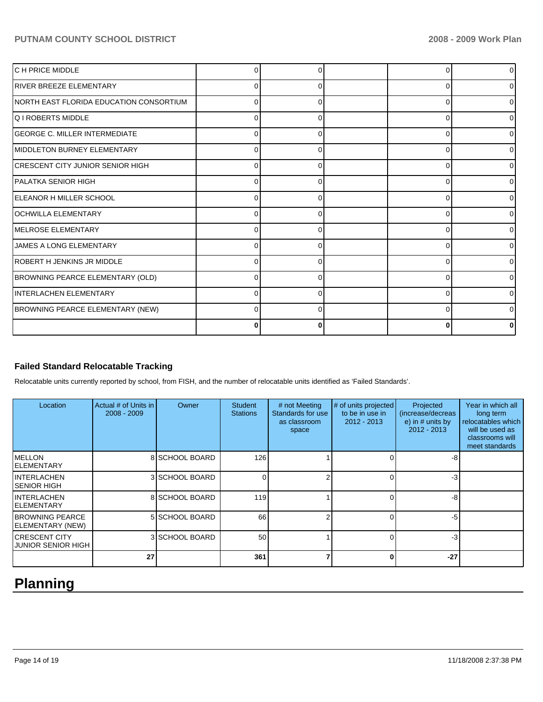# PUTNAM COUNTY SCHOOL DISTRICT **2008 - 2009 Work Plan**

| C H PRICE MIDDLE                         |          |   | O        | 0 |
|------------------------------------------|----------|---|----------|---|
| <b>IRIVER BREEZE ELEMENTARY</b>          | 0        | 0 | 0        |   |
| INORTH EAST FLORIDA EDUCATION CONSORTIUM | 0        | O | 0        |   |
| lQ I ROBERTS MIDDLE                      | $\Omega$ |   | $\Omega$ |   |
| <b>GEORGE C. MILLER INTERMEDIATE</b>     | 0        |   | $\Omega$ |   |
| <b>IMIDDLETON BURNEY ELEMENTARY</b>      | 0        | 0 | $\Omega$ |   |
| ICRESCENT CITY JUNIOR SENIOR HIGH        | 0        | O | 0        |   |
| IPALATKA SENIOR HIGH                     | 0        | O | $\Omega$ | ∩ |
| ELEANOR H MILLER SCHOOL                  | $\Omega$ |   | $\Omega$ |   |
| <b>IOCHWILLA ELEMENTARY</b>              | O        |   | $\Omega$ |   |
| <b>IMELROSE ELEMENTARY</b>               | 0        |   | $\Omega$ |   |
| <b>JAMES A LONG ELEMENTARY</b>           | 0        | 0 | $\Omega$ |   |
| <b>IROBERT H JENKINS JR MIDDLE</b>       | 0        | ∩ | $\Omega$ | n |
| BROWNING PEARCE ELEMENTARY (OLD)         | 0        |   | 0        | U |
| IINTERLACHEN ELEMENTARY                  | 0        |   | 0        |   |
| BROWNING PEARCE ELEMENTARY (NEW)         | 0        |   | 0        |   |
|                                          | 0        | 0 | $\bf{0}$ |   |

# **Failed Standard Relocatable Tracking**

Relocatable units currently reported by school, from FISH, and the number of relocatable units identified as 'Failed Standards'.

| Location                                     | Actual # of Units in<br>2008 - 2009 | Owner          | <b>Student</b><br><b>Stations</b> | # not Meeting<br>Standards for use<br>as classroom<br>space | # of units projected<br>to be in use in<br>2012 - 2013 | Projected<br>(increase/decreas<br>e) in $#$ units by<br>$2012 - 2013$ | Year in which all<br>long term<br>relocatables which<br>will be used as<br>classrooms will<br>meet standards |
|----------------------------------------------|-------------------------------------|----------------|-----------------------------------|-------------------------------------------------------------|--------------------------------------------------------|-----------------------------------------------------------------------|--------------------------------------------------------------------------------------------------------------|
| IMELLON<br>IELEMENTARY                       |                                     | 8 SCHOOL BOARD | 126                               |                                                             |                                                        | -8                                                                    |                                                                                                              |
| INTERLACHEN<br>ISENIOR HIGH                  |                                     | 3 SCHOOL BOARD | $\Omega$                          | っ                                                           |                                                        | -3                                                                    |                                                                                                              |
| IINTERLACHEN<br>IELEMENTARY                  |                                     | 8 SCHOOL BOARD | 119                               |                                                             |                                                        | -8                                                                    |                                                                                                              |
| <b>IBROWNING PEARCE</b><br>ELEMENTARY (NEW)  |                                     | 5 SCHOOL BOARD | 66                                |                                                             |                                                        | -5                                                                    |                                                                                                              |
| <b>ICRESCENT CITY</b><br>IJUNIOR SENIOR HIGH |                                     | 3 SCHOOL BOARD | 50                                |                                                             |                                                        | -3                                                                    |                                                                                                              |
|                                              | 27                                  |                | 361                               | 7                                                           |                                                        | $-27$                                                                 |                                                                                                              |

# **Planning**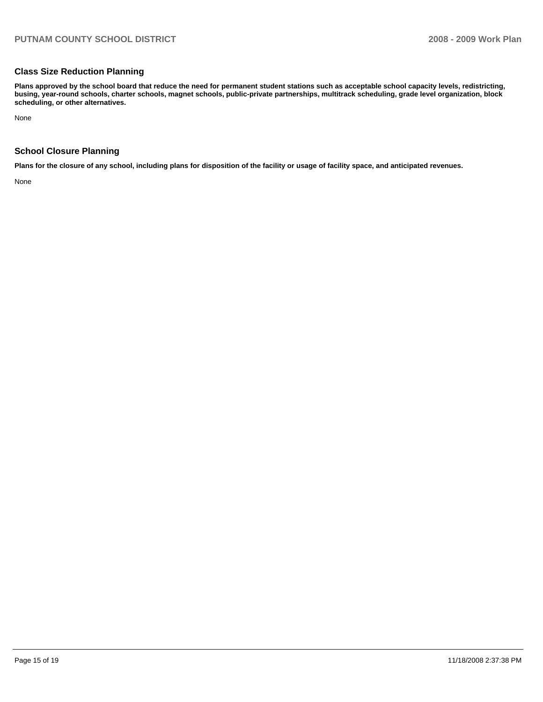## **Class Size Reduction Planning**

**Plans approved by the school board that reduce the need for permanent student stations such as acceptable school capacity levels, redistricting, busing, year-round schools, charter schools, magnet schools, public-private partnerships, multitrack scheduling, grade level organization, block scheduling, or other alternatives.** 

None

# **School Closure Planning**

**Plans for the closure of any school, including plans for disposition of the facility or usage of facility space, and anticipated revenues.** 

None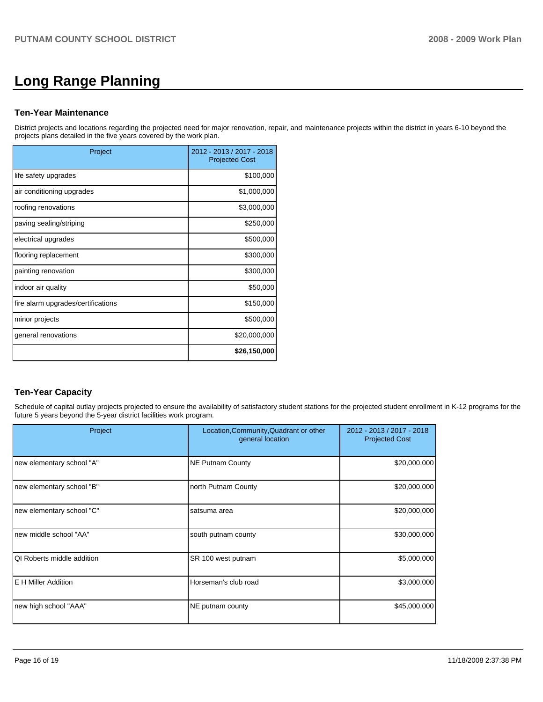# **Long Range Planning**

#### **Ten-Year Maintenance**

District projects and locations regarding the projected need for major renovation, repair, and maintenance projects within the district in years 6-10 beyond the projects plans detailed in the five years covered by the work plan.

| Project                            | 2012 - 2013 / 2017 - 2018<br><b>Projected Cost</b> |
|------------------------------------|----------------------------------------------------|
| life safety upgrades               | \$100,000                                          |
| air conditioning upgrades          | \$1,000,000                                        |
| roofing renovations                | \$3,000,000                                        |
| paving sealing/striping            | \$250,000                                          |
| electrical upgrades                | \$500,000                                          |
| flooring replacement               | \$300,000                                          |
| painting renovation                | \$300,000                                          |
| indoor air quality                 | \$50,000                                           |
| fire alarm upgrades/certifications | \$150,000                                          |
| minor projects                     | \$500,000                                          |
| general renovations                | \$20,000,000                                       |
|                                    | \$26,150,000                                       |

# **Ten-Year Capacity**

Schedule of capital outlay projects projected to ensure the availability of satisfactory student stations for the projected student enrollment in K-12 programs for the future 5 years beyond the 5-year district facilities work program.

| Project                     | Location, Community, Quadrant or other<br>general location | 2012 - 2013 / 2017 - 2018<br><b>Projected Cost</b> |
|-----------------------------|------------------------------------------------------------|----------------------------------------------------|
| new elementary school "A"   | <b>NE Putnam County</b>                                    | \$20,000,000                                       |
| new elementary school "B"   | north Putnam County                                        | \$20,000,000                                       |
| new elementary school "C"   | satsuma area                                               | \$20,000,000                                       |
| new middle school "AA"      | south putnam county                                        | \$30,000,000                                       |
| IQI Roberts middle addition | SR 100 west putnam                                         | \$5,000,000                                        |
| <b>IE H Miller Addition</b> | Horseman's club road                                       | \$3,000,000                                        |
| new high school "AAA"       | NE putnam county                                           | \$45,000,000                                       |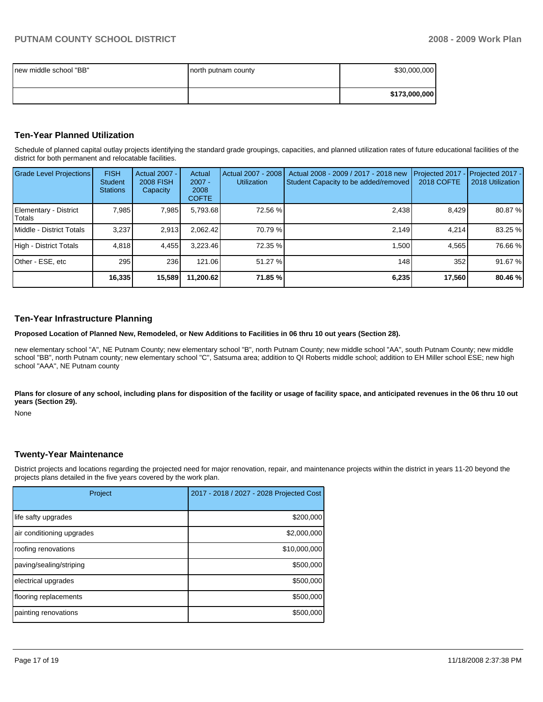| Inew middle school "BB" | north putnam county | \$30,000,000  |
|-------------------------|---------------------|---------------|
|                         |                     | \$173,000,000 |

#### **Ten-Year Planned Utilization**

Schedule of planned capital outlay projects identifying the standard grade groupings, capacities, and planned utilization rates of future educational facilities of the district for both permanent and relocatable facilities.

| <b>Grade Level Projections</b>   | <b>FISH</b><br><b>Student</b><br><b>Stations</b> | <b>Actual 2007 -</b><br><b>2008 FISH</b><br>Capacity | Actual<br>$2007 -$<br>2008<br><b>COFTE</b> | Actual 2007 - 2008<br><b>Utilization</b> | Actual 2008 - 2009 / 2017 - 2018 new<br>Student Capacity to be added/removed | <b>2018 COFTE</b> | Projected 2017 - Projected 2017 -<br>2018 Utilization |
|----------------------------------|--------------------------------------------------|------------------------------------------------------|--------------------------------------------|------------------------------------------|------------------------------------------------------------------------------|-------------------|-------------------------------------------------------|
| Elementary - District<br>ITotals | 7,985                                            | 7,985                                                | 5,793.68                                   | 72.56 %                                  | 2,438                                                                        | 8,429             | 80.87 %                                               |
| Middle - District Totals         | 3.237                                            | 2.913                                                | 2.062.42                                   | 70.79 %                                  | 2.149                                                                        | 4.214             | 83.25 %                                               |
| High - District Totals           | 4.818                                            | 4.455                                                | 3.223.46                                   | 72.35 %                                  | 1.500                                                                        | 4.565             | 76.66 %                                               |
| Other - ESE, etc                 | 295                                              | 236                                                  | 121.06                                     | 51.27 %                                  | 148                                                                          | 352               | 91.67 %                                               |
|                                  | 16,335                                           | 15,589                                               | 11,200.62                                  | 71.85 %                                  | 6,235                                                                        | 17,560            | 80.46 %                                               |

### **Ten-Year Infrastructure Planning**

**Proposed Location of Planned New, Remodeled, or New Additions to Facilities in 06 thru 10 out years (Section 28).** 

new elementary school "A", NE Putnam County; new elementary school "B", north Putnam County; new middle school "AA", south Putnam County; new middle school "BB", north Putnam county; new elementary school "C", Satsuma area; addition to QI Roberts middle school; addition to EH Miller school ESE; new high school "AAA", NE Putnam county

Plans for closure of any school, including plans for disposition of the facility or usage of facility space, and anticipated revenues in the 06 thru 10 out **years (Section 29).** 

None

#### **Twenty-Year Maintenance**

District projects and locations regarding the projected need for major renovation, repair, and maintenance projects within the district in years 11-20 beyond the projects plans detailed in the five years covered by the work plan.

| Project                   | 2017 - 2018 / 2027 - 2028 Projected Cost |  |  |
|---------------------------|------------------------------------------|--|--|
| life safty upgrades       | \$200,000                                |  |  |
| air conditioning upgrades | \$2,000,000                              |  |  |
| roofing renovations       | \$10,000,000                             |  |  |
| paving/sealing/striping   | \$500,000                                |  |  |
| electrical upgrades       | \$500,000                                |  |  |
| flooring replacements     | \$500,000                                |  |  |
| painting renovations      | \$500,000                                |  |  |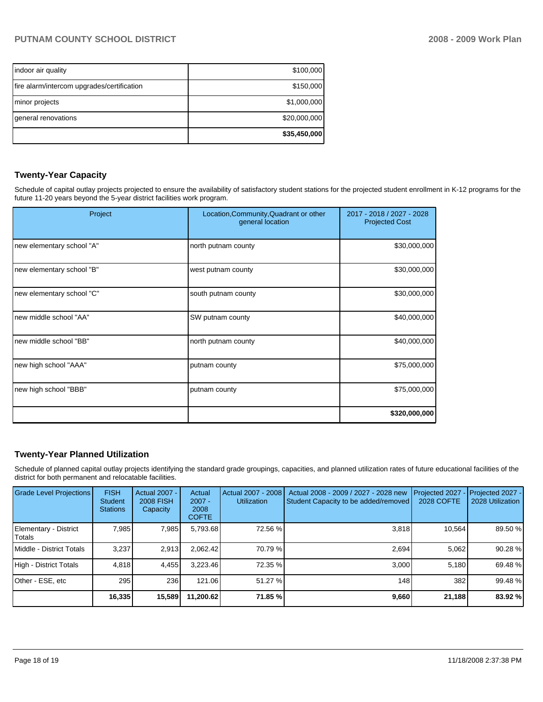| indoor air quality                         | \$100,000    |
|--------------------------------------------|--------------|
| fire alarm/intercom upgrades/certification | \$150,000    |
| minor projects                             | \$1,000,000  |
| general renovations                        | \$20,000,000 |
|                                            | \$35,450,000 |

# **Twenty-Year Capacity**

Schedule of capital outlay projects projected to ensure the availability of satisfactory student stations for the projected student enrollment in K-12 programs for the future 11-20 years beyond the 5-year district facilities work program.

| Project                   | Location, Community, Quadrant or other<br>general location | 2017 - 2018 / 2027 - 2028<br><b>Projected Cost</b> |  |
|---------------------------|------------------------------------------------------------|----------------------------------------------------|--|
| new elementary school "A" | north putnam county                                        | \$30,000,000                                       |  |
| new elementary school "B" | west putnam county                                         | \$30,000,000                                       |  |
| new elementary school "C" | south putnam county                                        | \$30,000,000                                       |  |
| new middle school "AA"    | SW putnam county                                           | \$40,000,000                                       |  |
| new middle school "BB"    | north putnam county                                        | \$40,000,000                                       |  |
| new high school "AAA"     | putnam county                                              | \$75,000,000                                       |  |
| new high school "BBB"     | putnam county                                              | \$75,000,000                                       |  |
|                           |                                                            | \$320,000,000                                      |  |

# **Twenty-Year Planned Utilization**

Schedule of planned capital outlay projects identifying the standard grade groupings, capacities, and planned utilization rates of future educational facilities of the district for both permanent and relocatable facilities.

| <b>Grade Level Projections</b>  | <b>FISH</b><br><b>Student</b><br><b>Stations</b> | <b>Actual 2007 -</b><br>2008 FISH<br>Capacity | Actual<br>$2007 -$<br>2008<br><b>COFTE</b> | Actual 2007 - 2008<br><b>Utilization</b> | Actual 2008 - 2009 / 2027 - 2028 new<br>Student Capacity to be added/removed | Projected 2027<br>2028 COFTE | Projected 2027 -<br>2028 Utilization |
|---------------------------------|--------------------------------------------------|-----------------------------------------------|--------------------------------------------|------------------------------------------|------------------------------------------------------------------------------|------------------------------|--------------------------------------|
| Elementary - District<br>Totals | 7.985                                            | 7,985                                         | 5,793.68                                   | 72.56 %                                  | 3,818                                                                        | 10,564                       | 89.50 %                              |
| Middle - District Totals        | 3,237                                            | 2,913                                         | 2.062.42                                   | 70.79 %                                  | 2.694                                                                        | 5,062                        | 90.28 %                              |
| High - District Totals          | 4.818                                            | 4.455                                         | 3.223.46                                   | 72.35 %                                  | 3.000                                                                        | 5.180                        | 69.48 %                              |
| Other - ESE, etc                | 295                                              | 236                                           | 121.06                                     | 51.27 %                                  | 148                                                                          | 382                          | 99.48 %                              |
|                                 | 16,335                                           | 15,589                                        | 11,200.62                                  | 71.85 %                                  | 9,660                                                                        | 21,188                       | 83.92 %                              |